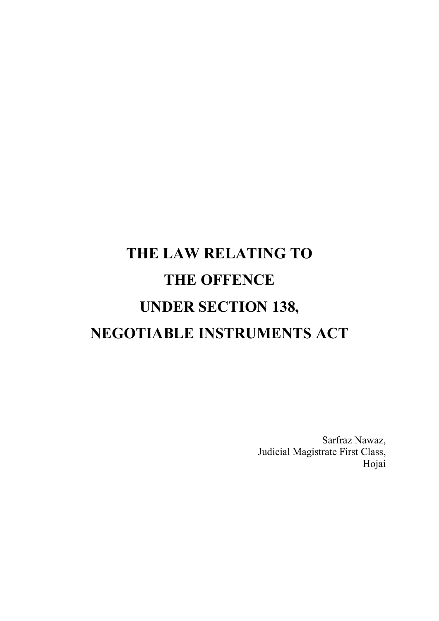# THE LAW RELATING TO THE OFFENCE UNDER SECTION 138, NEGOTIABLE INSTRUMENTS ACT

Sarfraz Nawaz, Judicial Magistrate First Class, Hojai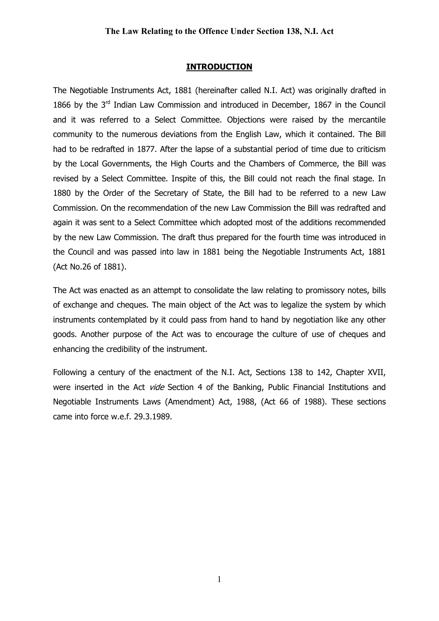#### **INTRODUCTION**

The Negotiable Instruments Act, 1881 (hereinafter called N.I. Act) was originally drafted in 1866 by the 3<sup>rd</sup> Indian Law Commission and introduced in December, 1867 in the Council and it was referred to a Select Committee. Objections were raised by the mercantile community to the numerous deviations from the English Law, which it contained. The Bill had to be redrafted in 1877. After the lapse of a substantial period of time due to criticism by the Local Governments, the High Courts and the Chambers of Commerce, the Bill was revised by a Select Committee. Inspite of this, the Bill could not reach the final stage. In 1880 by the Order of the Secretary of State, the Bill had to be referred to a new Law Commission. On the recommendation of the new Law Commission the Bill was redrafted and again it was sent to a Select Committee which adopted most of the additions recommended by the new Law Commission. The draft thus prepared for the fourth time was introduced in the Council and was passed into law in 1881 being the Negotiable Instruments Act, 1881 (Act No.26 of 1881).

The Act was enacted as an attempt to consolidate the law relating to promissory notes, bills of exchange and cheques. The main object of the Act was to legalize the system by which instruments contemplated by it could pass from hand to hand by negotiation like any other goods. Another purpose of the Act was to encourage the culture of use of cheques and enhancing the credibility of the instrument.

Following a century of the enactment of the N.I. Act, Sections 138 to 142, Chapter XVII, were inserted in the Act *vide* Section 4 of the Banking, Public Financial Institutions and Negotiable Instruments Laws (Amendment) Act, 1988, (Act 66 of 1988). These sections came into force w.e.f. 29.3.1989.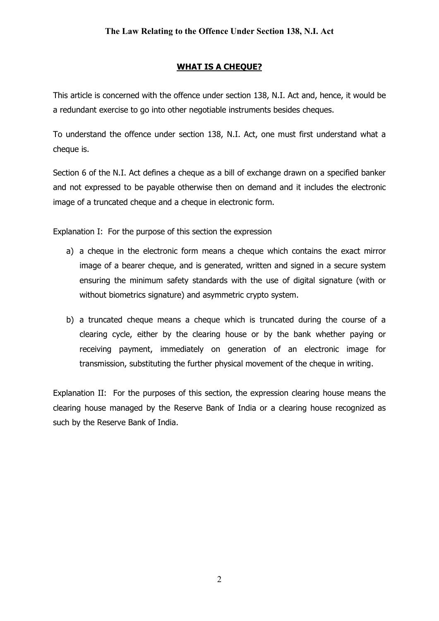## WHAT IS A CHEQUE?

This article is concerned with the offence under section 138, N.I. Act and, hence, it would be a redundant exercise to go into other negotiable instruments besides cheques.

To understand the offence under section 138, N.I. Act, one must first understand what a cheque is.

Section 6 of the N.I. Act defines a cheque as a bill of exchange drawn on a specified banker and not expressed to be payable otherwise then on demand and it includes the electronic image of a truncated cheque and a cheque in electronic form.

Explanation I: For the purpose of this section the expression

- a) a cheque in the electronic form means a cheque which contains the exact mirror image of a bearer cheque, and is generated, written and signed in a secure system ensuring the minimum safety standards with the use of digital signature (with or without biometrics signature) and asymmetric crypto system.
- b) a truncated cheque means a cheque which is truncated during the course of a clearing cycle, either by the clearing house or by the bank whether paying or receiving payment, immediately on generation of an electronic image for transmission, substituting the further physical movement of the cheque in writing.

Explanation II: For the purposes of this section, the expression clearing house means the clearing house managed by the Reserve Bank of India or a clearing house recognized as such by the Reserve Bank of India.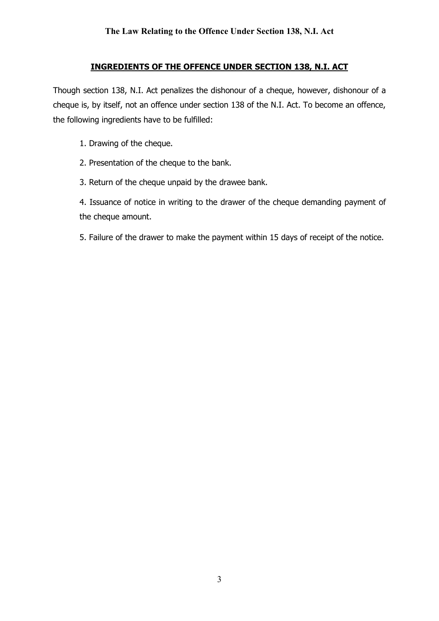## INGREDIENTS OF THE OFFENCE UNDER SECTION 138, N.I. ACT

Though section 138, N.I. Act penalizes the dishonour of a cheque, however, dishonour of a cheque is, by itself, not an offence under section 138 of the N.I. Act. To become an offence, the following ingredients have to be fulfilled:

- 1. Drawing of the cheque.
- 2. Presentation of the cheque to the bank.
- 3. Return of the cheque unpaid by the drawee bank.

4. Issuance of notice in writing to the drawer of the cheque demanding payment of the cheque amount.

5. Failure of the drawer to make the payment within 15 days of receipt of the notice.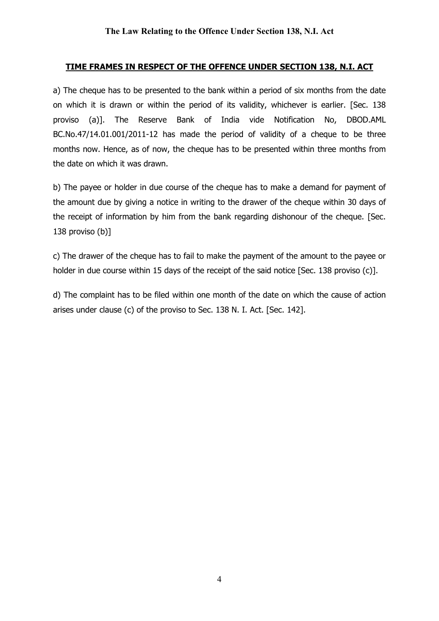## TIME FRAMES IN RESPECT OF THE OFFENCE UNDER SECTION 138, N.I. ACT

a) The cheque has to be presented to the bank within a period of six months from the date on which it is drawn or within the period of its validity, whichever is earlier. [Sec. 138 proviso (a)]. The Reserve Bank of India vide Notification No, DBOD.AML BC.No.47/14.01.001/2011-12 has made the period of validity of a cheque to be three months now. Hence, as of now, the cheque has to be presented within three months from the date on which it was drawn.

b) The payee or holder in due course of the cheque has to make a demand for payment of the amount due by giving a notice in writing to the drawer of the cheque within 30 days of the receipt of information by him from the bank regarding dishonour of the cheque. [Sec. 138 proviso (b)]

c) The drawer of the cheque has to fail to make the payment of the amount to the payee or holder in due course within 15 days of the receipt of the said notice [Sec. 138 proviso (c)].

d) The complaint has to be filed within one month of the date on which the cause of action arises under clause (c) of the proviso to Sec. 138 N. I. Act. [Sec. 142].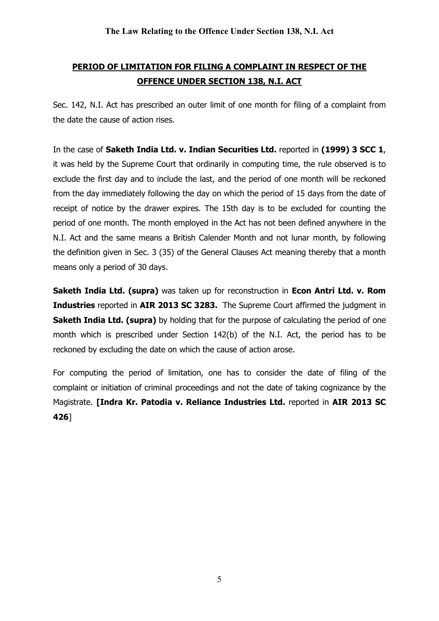# PERIOD OF LIMITATION FOR FILING A COMPLAINT IN RESPECT OF THE OFFENCE UNDER SECTION 138, N.I. ACT

Sec. 142, N.I. Act has prescribed an outer limit of one month for filing of a complaint from the date the cause of action rises.

In the case of Saketh India Ltd. v. Indian Securities Ltd. reported in (1999) 3 SCC 1, it was held by the Supreme Court that ordinarily in computing time, the rule observed is to exclude the first day and to include the last, and the period of one month will be reckoned from the day immediately following the day on which the period of 15 days from the date of receipt of notice by the drawer expires. The 15th day is to be excluded for counting the period of one month. The month employed in the Act has not been defined anywhere in the N.I. Act and the same means a British Calender Month and not lunar month, by following the definition given in Sec. 3 (35) of the General Clauses Act meaning thereby that a month means only a period of 30 days.

Saketh India Ltd. (supra) was taken up for reconstruction in Econ Antri Ltd. v. Rom Industries reported in AIR 2013 SC 3283. The Supreme Court affirmed the judgment in **Saketh India Ltd. (supra)** by holding that for the purpose of calculating the period of one month which is prescribed under Section 142(b) of the N.I. Act, the period has to be reckoned by excluding the date on which the cause of action arose.

For computing the period of limitation, one has to consider the date of filing of the complaint or initiation of criminal proceedings and not the date of taking cognizance by the Magistrate. [Indra Kr. Patodia v. Reliance Industries Ltd. reported in AIR 2013 SC 426]

5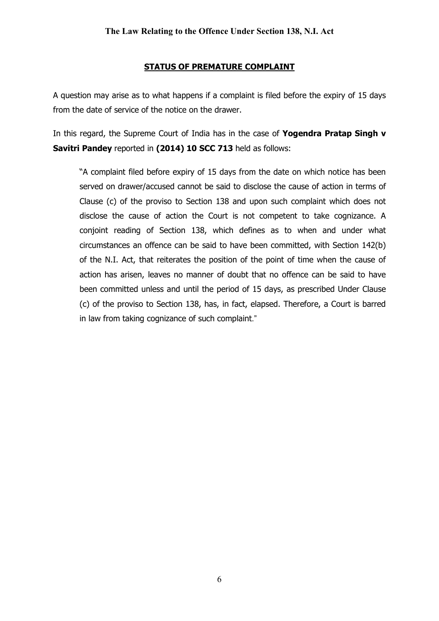## STATUS OF PREMATURE COMPLAINT

A question may arise as to what happens if a complaint is filed before the expiry of 15 days from the date of service of the notice on the drawer.

In this regard, the Supreme Court of India has in the case of Yogendra Pratap Singh v Savitri Pandey reported in (2014) 10 SCC 713 held as follows:

"A complaint filed before expiry of 15 days from the date on which notice has been served on drawer/accused cannot be said to disclose the cause of action in terms of Clause (c) of the proviso to Section 138 and upon such complaint which does not disclose the cause of action the Court is not competent to take cognizance. A conjoint reading of Section 138, which defines as to when and under what circumstances an offence can be said to have been committed, with Section 142(b) of the N.I. Act, that reiterates the position of the point of time when the cause of action has arisen, leaves no manner of doubt that no offence can be said to have been committed unless and until the period of 15 days, as prescribed Under Clause (c) of the proviso to Section 138, has, in fact, elapsed. Therefore, a Court is barred in law from taking cognizance of such complaint."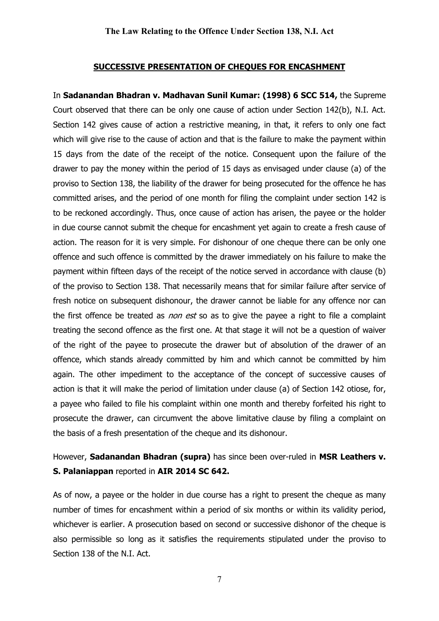#### SUCCESSIVE PRESENTATION OF CHEQUES FOR ENCASHMENT

In Sadanandan Bhadran v. Madhavan Sunil Kumar: (1998) 6 SCC 514, the Supreme Court observed that there can be only one cause of action under Section 142(b), N.I. Act. Section 142 gives cause of action a restrictive meaning, in that, it refers to only one fact which will give rise to the cause of action and that is the failure to make the payment within 15 days from the date of the receipt of the notice. Consequent upon the failure of the drawer to pay the money within the period of 15 days as envisaged under clause (a) of the proviso to Section 138, the liability of the drawer for being prosecuted for the offence he has committed arises, and the period of one month for filing the complaint under section 142 is to be reckoned accordingly. Thus, once cause of action has arisen, the payee or the holder in due course cannot submit the cheque for encashment yet again to create a fresh cause of action. The reason for it is very simple. For dishonour of one cheque there can be only one offence and such offence is committed by the drawer immediately on his failure to make the payment within fifteen days of the receipt of the notice served in accordance with clause (b) of the proviso to Section 138. That necessarily means that for similar failure after service of fresh notice on subsequent dishonour, the drawer cannot be liable for any offence nor can the first offence be treated as *non est* so as to give the payee a right to file a complaint treating the second offence as the first one. At that stage it will not be a question of waiver of the right of the payee to prosecute the drawer but of absolution of the drawer of an offence, which stands already committed by him and which cannot be committed by him again. The other impediment to the acceptance of the concept of successive causes of action is that it will make the period of limitation under clause (a) of Section 142 otiose, for, a payee who failed to file his complaint within one month and thereby forfeited his right to prosecute the drawer, can circumvent the above limitative clause by filing a complaint on the basis of a fresh presentation of the cheque and its dishonour.

# However, Sadanandan Bhadran (supra) has since been over-ruled in MSR Leathers v. S. Palaniappan reported in AIR 2014 SC 642.

As of now, a payee or the holder in due course has a right to present the cheque as many number of times for encashment within a period of six months or within its validity period, whichever is earlier. A prosecution based on second or successive dishonor of the cheque is also permissible so long as it satisfies the requirements stipulated under the proviso to Section 138 of the N.I. Act.

7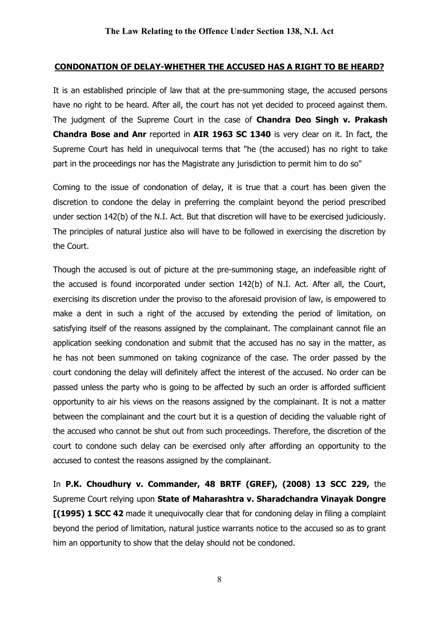## CONDONATION OF DELAY-WHETHER THE ACCUSED HAS A RIGHT TO BE HEARD?

It is an established principle of law that at the pre-summoning stage, the accused persons have no right to be heard. After all, the court has not yet decided to proceed against them. The judgment of the Supreme Court in the case of **Chandra Deo Singh v. Prakash** Chandra Bose and Anr reported in AIR 1963 SC 1340 is very clear on it. In fact, the Supreme Court has held in unequivocal terms that "he (the accused) has no right to take part in the proceedings nor has the Magistrate any jurisdiction to permit him to do so"

Coming to the issue of condonation of delay, it is true that a court has been given the discretion to condone the delay in preferring the complaint beyond the period prescribed under section 142(b) of the N.I. Act. But that discretion will have to be exercised judiciously. The principles of natural justice also will have to be followed in exercising the discretion by the Court.

Though the accused is out of picture at the pre-summoning stage, an indefeasible right of the accused is found incorporated under section 142(b) of N.I. Act. After all, the Court, exercising its discretion under the proviso to the aforesaid provision of law, is empowered to make a dent in such a right of the accused by extending the period of limitation, on satisfying itself of the reasons assigned by the complainant. The complainant cannot file an application seeking condonation and submit that the accused has no say in the matter, as he has not been summoned on taking cognizance of the case. The order passed by the court condoning the delay will definitely affect the interest of the accused. No order can be passed unless the party who is going to be affected by such an order is afforded sufficient opportunity to air his views on the reasons assigned by the complainant. It is not a matter between the complainant and the court but it is a question of deciding the valuable right of the accused who cannot be shut out from such proceedings. Therefore, the discretion of the court to condone such delay can be exercised only after affording an opportunity to the accused to contest the reasons assigned by the complainant.

In P.K. Choudhury v. Commander, 48 BRTF (GREF), (2008) 13 SCC 229, the Supreme Court relying upon State of Maharashtra v. Sharadchandra Vinayak Dongre [(1995) 1 SCC 42 made it unequivocally clear that for condoning delay in filing a complaint beyond the period of limitation, natural justice warrants notice to the accused so as to grant him an opportunity to show that the delay should not be condoned.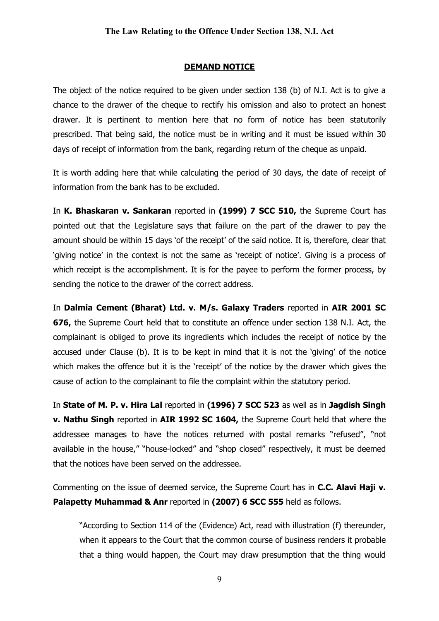#### DEMAND NOTICE

The object of the notice required to be given under section 138 (b) of N.I. Act is to give a chance to the drawer of the cheque to rectify his omission and also to protect an honest drawer. It is pertinent to mention here that no form of notice has been statutorily prescribed. That being said, the notice must be in writing and it must be issued within 30 days of receipt of information from the bank, regarding return of the cheque as unpaid.

It is worth adding here that while calculating the period of 30 days, the date of receipt of information from the bank has to be excluded.

In K. Bhaskaran v. Sankaran reported in (1999) 7 SCC 510, the Supreme Court has pointed out that the Legislature says that failure on the part of the drawer to pay the amount should be within 15 days 'of the receipt' of the said notice. It is, therefore, clear that 'giving notice' in the context is not the same as 'receipt of notice'. Giving is a process of which receipt is the accomplishment. It is for the payee to perform the former process, by sending the notice to the drawer of the correct address.

In Dalmia Cement (Bharat) Ltd. v. M/s. Galaxy Traders reported in AIR 2001 SC 676, the Supreme Court held that to constitute an offence under section 138 N.I. Act, the complainant is obliged to prove its ingredients which includes the receipt of notice by the accused under Clause (b). It is to be kept in mind that it is not the 'giving' of the notice which makes the offence but it is the 'receipt' of the notice by the drawer which gives the cause of action to the complainant to file the complaint within the statutory period.

In State of M. P. v. Hira Lal reported in (1996) 7 SCC 523 as well as in Jagdish Singh v. Nathu Singh reported in AIR 1992 SC 1604, the Supreme Court held that where the addressee manages to have the notices returned with postal remarks "refused", "not available in the house," "house-locked" and "shop closed" respectively, it must be deemed that the notices have been served on the addressee.

Commenting on the issue of deemed service, the Supreme Court has in C.C. Alavi Haji v. Palapetty Muhammad & Anr reported in (2007) 6 SCC 555 held as follows.

"According to Section 114 of the (Evidence) Act, read with illustration (f) thereunder, when it appears to the Court that the common course of business renders it probable that a thing would happen, the Court may draw presumption that the thing would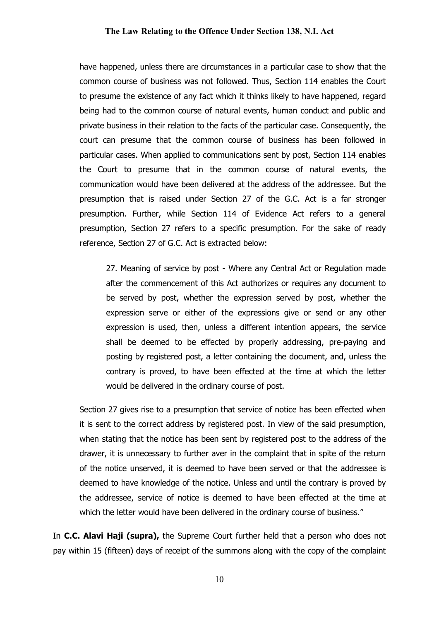have happened, unless there are circumstances in a particular case to show that the common course of business was not followed. Thus, Section 114 enables the Court to presume the existence of any fact which it thinks likely to have happened, regard being had to the common course of natural events, human conduct and public and private business in their relation to the facts of the particular case. Consequently, the court can presume that the common course of business has been followed in particular cases. When applied to communications sent by post, Section 114 enables the Court to presume that in the common course of natural events, the communication would have been delivered at the address of the addressee. But the presumption that is raised under Section 27 of the G.C. Act is a far stronger presumption. Further, while Section 114 of Evidence Act refers to a general presumption, Section 27 refers to a specific presumption. For the sake of ready reference, Section 27 of G.C. Act is extracted below:

27. Meaning of service by post - Where any Central Act or Regulation made after the commencement of this Act authorizes or requires any document to be served by post, whether the expression served by post, whether the expression serve or either of the expressions give or send or any other expression is used, then, unless a different intention appears, the service shall be deemed to be effected by properly addressing, pre-paying and posting by registered post, a letter containing the document, and, unless the contrary is proved, to have been effected at the time at which the letter would be delivered in the ordinary course of post.

Section 27 gives rise to a presumption that service of notice has been effected when it is sent to the correct address by registered post. In view of the said presumption, when stating that the notice has been sent by registered post to the address of the drawer, it is unnecessary to further aver in the complaint that in spite of the return of the notice unserved, it is deemed to have been served or that the addressee is deemed to have knowledge of the notice. Unless and until the contrary is proved by the addressee, service of notice is deemed to have been effected at the time at which the letter would have been delivered in the ordinary course of business."

In C.C. Alavi Haji (supra), the Supreme Court further held that a person who does not pay within 15 (fifteen) days of receipt of the summons along with the copy of the complaint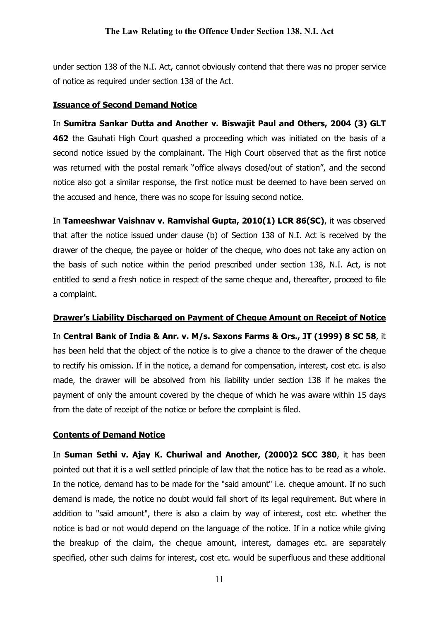under section 138 of the N.I. Act, cannot obviously contend that there was no proper service of notice as required under section 138 of the Act.

## Issuance of Second Demand Notice

In Sumitra Sankar Dutta and Another v. Biswajit Paul and Others, 2004 (3) GLT 462 the Gauhati High Court quashed a proceeding which was initiated on the basis of a second notice issued by the complainant. The High Court observed that as the first notice was returned with the postal remark "office always closed/out of station", and the second notice also got a similar response, the first notice must be deemed to have been served on the accused and hence, there was no scope for issuing second notice.

In Tameeshwar Vaishnav v. Ramvishal Gupta, 2010(1) LCR 86(SC), it was observed that after the notice issued under clause (b) of Section 138 of N.I. Act is received by the drawer of the cheque, the payee or holder of the cheque, who does not take any action on the basis of such notice within the period prescribed under section 138, N.I. Act, is not entitled to send a fresh notice in respect of the same cheque and, thereafter, proceed to file a complaint.

## Drawer's Liability Discharged on Payment of Cheque Amount on Receipt of Notice

In Central Bank of India & Anr. v. M/s. Saxons Farms & Ors., JT (1999) 8 SC 58, it has been held that the object of the notice is to give a chance to the drawer of the cheque to rectify his omission. If in the notice, a demand for compensation, interest, cost etc. is also made, the drawer will be absolved from his liability under section 138 if he makes the payment of only the amount covered by the cheque of which he was aware within 15 days from the date of receipt of the notice or before the complaint is filed.

## Contents of Demand Notice

In Suman Sethi v. Ajay K. Churiwal and Another, (2000)2 SCC 380, it has been pointed out that it is a well settled principle of law that the notice has to be read as a whole. In the notice, demand has to be made for the "said amount" i.e. cheque amount. If no such demand is made, the notice no doubt would fall short of its legal requirement. But where in addition to "said amount", there is also a claim by way of interest, cost etc. whether the notice is bad or not would depend on the language of the notice. If in a notice while giving the breakup of the claim, the cheque amount, interest, damages etc. are separately specified, other such claims for interest, cost etc. would be superfluous and these additional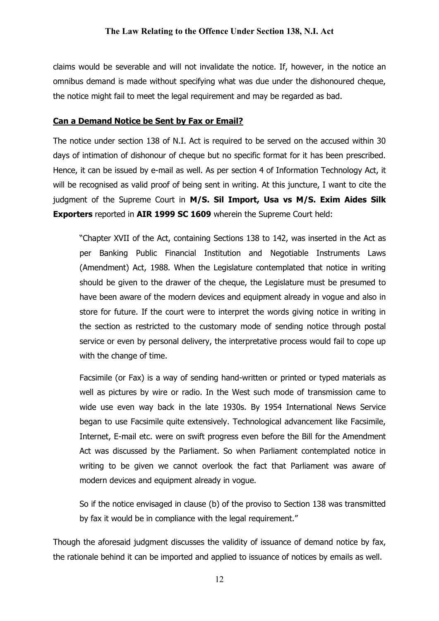claims would be severable and will not invalidate the notice. If, however, in the notice an omnibus demand is made without specifying what was due under the dishonoured cheque, the notice might fail to meet the legal requirement and may be regarded as bad.

## Can a Demand Notice be Sent by Fax or Email?

The notice under section 138 of N.I. Act is required to be served on the accused within 30 days of intimation of dishonour of cheque but no specific format for it has been prescribed. Hence, it can be issued by e-mail as well. As per section 4 of Information Technology Act, it will be recognised as valid proof of being sent in writing. At this juncture, I want to cite the judgment of the Supreme Court in M/S. Sil Import, Usa vs M/S. Exim Aides Silk Exporters reported in AIR 1999 SC 1609 wherein the Supreme Court held:

"Chapter XVII of the Act, containing Sections 138 to 142, was inserted in the Act as per Banking Public Financial Institution and Negotiable Instruments Laws (Amendment) Act, 1988. When the Legislature contemplated that notice in writing should be given to the drawer of the cheque, the Legislature must be presumed to have been aware of the modern devices and equipment already in vogue and also in store for future. If the court were to interpret the words giving notice in writing in the section as restricted to the customary mode of sending notice through postal service or even by personal delivery, the interpretative process would fail to cope up with the change of time.

Facsimile (or Fax) is a way of sending hand-written or printed or typed materials as well as pictures by wire or radio. In the West such mode of transmission came to wide use even way back in the late 1930s. By 1954 International News Service began to use Facsimile quite extensively. Technological advancement like Facsimile, Internet, E-mail etc. were on swift progress even before the Bill for the Amendment Act was discussed by the Parliament. So when Parliament contemplated notice in writing to be given we cannot overlook the fact that Parliament was aware of modern devices and equipment already in vogue.

So if the notice envisaged in clause (b) of the proviso to Section 138 was transmitted by fax it would be in compliance with the legal requirement."

Though the aforesaid judgment discusses the validity of issuance of demand notice by fax, the rationale behind it can be imported and applied to issuance of notices by emails as well.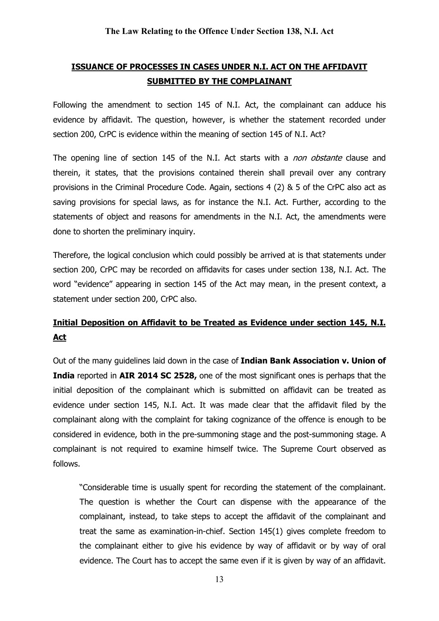# ISSUANCE OF PROCESSES IN CASES UNDER N.I. ACT ON THE AFFIDAVIT SUBMITTED BY THE COMPLAINANT

Following the amendment to section 145 of N.I. Act, the complainant can adduce his evidence by affidavit. The question, however, is whether the statement recorded under section 200, CrPC is evidence within the meaning of section 145 of N.I. Act?

The opening line of section 145 of the N.I. Act starts with a *non obstante* clause and therein, it states, that the provisions contained therein shall prevail over any contrary provisions in the Criminal Procedure Code. Again, sections 4 (2) & 5 of the CrPC also act as saving provisions for special laws, as for instance the N.I. Act. Further, according to the statements of object and reasons for amendments in the N.I. Act, the amendments were done to shorten the preliminary inquiry.

Therefore, the logical conclusion which could possibly be arrived at is that statements under section 200, CrPC may be recorded on affidavits for cases under section 138, N.I. Act. The word "evidence" appearing in section 145 of the Act may mean, in the present context, a statement under section 200, CrPC also.

# Initial Deposition on Affidavit to be Treated as Evidence under section 145, N.I. Act

Out of the many quidelines laid down in the case of Indian Bank Association v. Union of India reported in AIR 2014 SC 2528, one of the most significant ones is perhaps that the initial deposition of the complainant which is submitted on affidavit can be treated as evidence under section 145, N.I. Act. It was made clear that the affidavit filed by the complainant along with the complaint for taking cognizance of the offence is enough to be considered in evidence, both in the pre-summoning stage and the post-summoning stage. A complainant is not required to examine himself twice. The Supreme Court observed as follows.

"Considerable time is usually spent for recording the statement of the complainant. The question is whether the Court can dispense with the appearance of the complainant, instead, to take steps to accept the affidavit of the complainant and treat the same as examination-in-chief. Section 145(1) gives complete freedom to the complainant either to give his evidence by way of affidavit or by way of oral evidence. The Court has to accept the same even if it is given by way of an affidavit.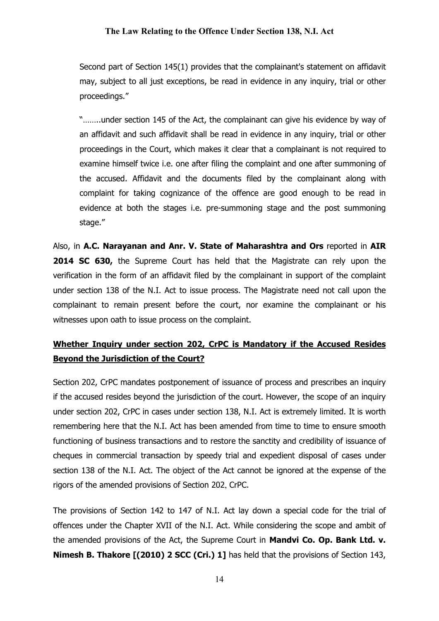Second part of Section 145(1) provides that the complainant's statement on affidavit may, subject to all just exceptions, be read in evidence in any inquiry, trial or other proceedings."

"……..under section 145 of the Act, the complainant can give his evidence by way of an affidavit and such affidavit shall be read in evidence in any inquiry, trial or other proceedings in the Court, which makes it clear that a complainant is not required to examine himself twice i.e. one after filing the complaint and one after summoning of the accused. Affidavit and the documents filed by the complainant along with complaint for taking cognizance of the offence are good enough to be read in evidence at both the stages i.e. pre-summoning stage and the post summoning stage."

Also, in A.C. Narayanan and Anr. V. State of Maharashtra and Ors reported in AIR 2014 SC 630, the Supreme Court has held that the Magistrate can rely upon the verification in the form of an affidavit filed by the complainant in support of the complaint under section 138 of the N.I. Act to issue process. The Magistrate need not call upon the complainant to remain present before the court, nor examine the complainant or his witnesses upon oath to issue process on the complaint.

# Whether Inquiry under section 202, CrPC is Mandatory if the Accused Resides Beyond the Jurisdiction of the Court?

Section 202, CrPC mandates postponement of issuance of process and prescribes an inquiry if the accused resides beyond the jurisdiction of the court. However, the scope of an inquiry under section 202, CrPC in cases under section 138, N.I. Act is extremely limited. It is worth remembering here that the N.I. Act has been amended from time to time to ensure smooth functioning of business transactions and to restore the sanctity and credibility of issuance of cheques in commercial transaction by speedy trial and expedient disposal of cases under section 138 of the N.I. Act. The object of the Act cannot be ignored at the expense of the rigors of the amended provisions of Section 202, CrPC.

The provisions of Section 142 to 147 of N.I. Act lay down a special code for the trial of offences under the Chapter XVII of the N.I. Act. While considering the scope and ambit of the amended provisions of the Act, the Supreme Court in **Mandvi Co. Op. Bank Ltd. v.** Nimesh B. Thakore [(2010) 2 SCC (Cri.) 1] has held that the provisions of Section 143,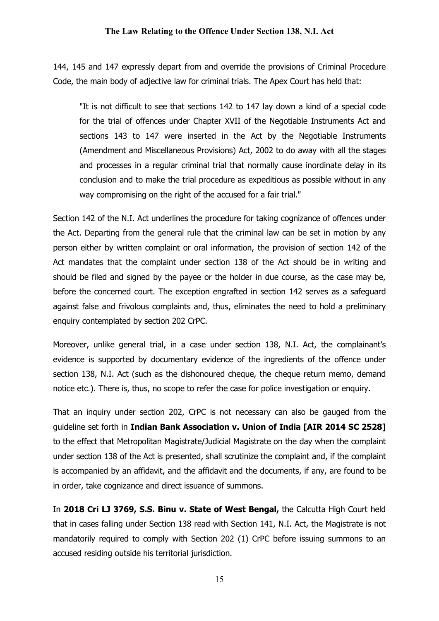144, 145 and 147 expressly depart from and override the provisions of Criminal Procedure Code, the main body of adjective law for criminal trials. The Apex Court has held that:

"It is not difficult to see that sections 142 to 147 lay down a kind of a special code for the trial of offences under Chapter XVII of the Negotiable Instruments Act and sections 143 to 147 were inserted in the Act by the Negotiable Instruments (Amendment and Miscellaneous Provisions) Act, 2002 to do away with all the stages and processes in a regular criminal trial that normally cause inordinate delay in its conclusion and to make the trial procedure as expeditious as possible without in any way compromising on the right of the accused for a fair trial."

Section 142 of the N.I. Act underlines the procedure for taking cognizance of offences under the Act. Departing from the general rule that the criminal law can be set in motion by any person either by written complaint or oral information, the provision of section 142 of the Act mandates that the complaint under section 138 of the Act should be in writing and should be filed and signed by the payee or the holder in due course, as the case may be, before the concerned court. The exception engrafted in section 142 serves as a safeguard against false and frivolous complaints and, thus, eliminates the need to hold a preliminary enquiry contemplated by section 202 CrPC.

Moreover, unlike general trial, in a case under section 138, N.I. Act, the complainant's evidence is supported by documentary evidence of the ingredients of the offence under section 138, N.I. Act (such as the dishonoured cheque, the cheque return memo, demand notice etc.). There is, thus, no scope to refer the case for police investigation or enquiry.

That an inquiry under section 202, CrPC is not necessary can also be gauged from the guideline set forth in Indian Bank Association v. Union of India [AIR 2014 SC 2528] to the effect that Metropolitan Magistrate/Judicial Magistrate on the day when the complaint under section 138 of the Act is presented, shall scrutinize the complaint and, if the complaint is accompanied by an affidavit, and the affidavit and the documents, if any, are found to be in order, take cognizance and direct issuance of summons.

In 2018 Cri LJ 3769, S.S. Binu v. State of West Bengal, the Calcutta High Court held that in cases falling under Section 138 read with Section 141, N.I. Act, the Magistrate is not mandatorily required to comply with Section 202 (1) CrPC before issuing summons to an accused residing outside his territorial jurisdiction.

15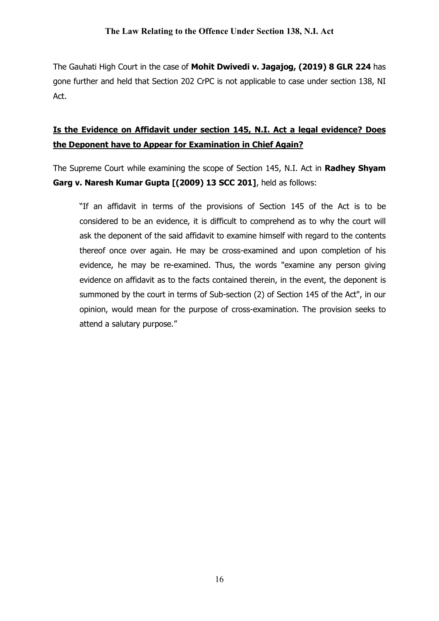The Gauhati High Court in the case of Mohit Dwivedi v. Jagajog, (2019) 8 GLR 224 has gone further and held that Section 202 CrPC is not applicable to case under section 138, NI Act.

# Is the Evidence on Affidavit under section 145, N.I. Act a legal evidence? Does the Deponent have to Appear for Examination in Chief Again?

The Supreme Court while examining the scope of Section 145, N.I. Act in Radhey Shyam Garg v. Naresh Kumar Gupta [(2009) 13 SCC 201], held as follows:

"If an affidavit in terms of the provisions of Section 145 of the Act is to be considered to be an evidence, it is difficult to comprehend as to why the court will ask the deponent of the said affidavit to examine himself with regard to the contents thereof once over again. He may be cross-examined and upon completion of his evidence, he may be re-examined. Thus, the words "examine any person giving evidence on affidavit as to the facts contained therein, in the event, the deponent is summoned by the court in terms of Sub-section (2) of Section 145 of the Act", in our opinion, would mean for the purpose of cross-examination. The provision seeks to attend a salutary purpose."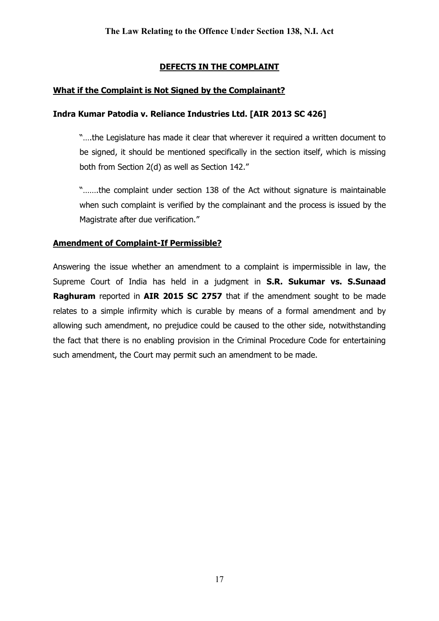## DEFECTS IN THE COMPLAINT

## What if the Complaint is Not Signed by the Complainant?

## Indra Kumar Patodia v. Reliance Industries Ltd. [AIR 2013 SC 426]

"….the Legislature has made it clear that wherever it required a written document to be signed, it should be mentioned specifically in the section itself, which is missing both from Section 2(d) as well as Section 142."

"…….the complaint under section 138 of the Act without signature is maintainable when such complaint is verified by the complainant and the process is issued by the Magistrate after due verification."

## Amendment of Complaint-If Permissible?

Answering the issue whether an amendment to a complaint is impermissible in law, the Supreme Court of India has held in a judgment in S.R. Sukumar vs. S.Sunaad Raghuram reported in AIR 2015 SC 2757 that if the amendment sought to be made relates to a simple infirmity which is curable by means of a formal amendment and by allowing such amendment, no prejudice could be caused to the other side, notwithstanding the fact that there is no enabling provision in the Criminal Procedure Code for entertaining such amendment, the Court may permit such an amendment to be made.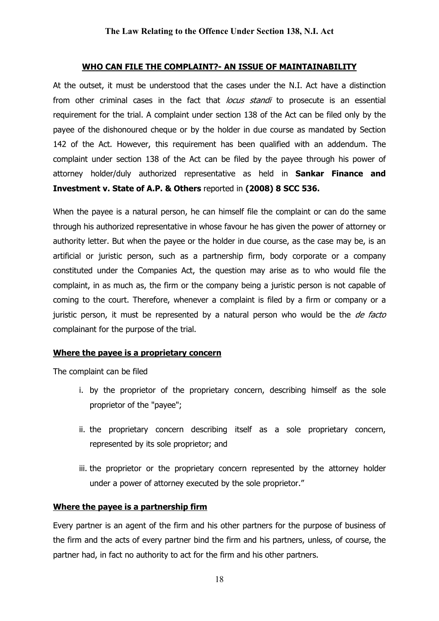#### WHO CAN FILE THE COMPLAINT?- AN ISSUE OF MAINTAINABILITY

At the outset, it must be understood that the cases under the N.I. Act have a distinction from other criminal cases in the fact that *locus standi* to prosecute is an essential requirement for the trial. A complaint under section 138 of the Act can be filed only by the payee of the dishonoured cheque or by the holder in due course as mandated by Section 142 of the Act. However, this requirement has been qualified with an addendum. The complaint under section 138 of the Act can be filed by the payee through his power of attorney holder/duly authorized representative as held in **Sankar Finance and** Investment v. State of A.P. & Others reported in (2008) 8 SCC 536.

When the payee is a natural person, he can himself file the complaint or can do the same through his authorized representative in whose favour he has given the power of attorney or authority letter. But when the payee or the holder in due course, as the case may be, is an artificial or juristic person, such as a partnership firm, body corporate or a company constituted under the Companies Act, the question may arise as to who would file the complaint, in as much as, the firm or the company being a juristic person is not capable of coming to the court. Therefore, whenever a complaint is filed by a firm or company or a juristic person, it must be represented by a natural person who would be the de facto complainant for the purpose of the trial.

#### Where the payee is a proprietary concern

The complaint can be filed

- i. by the proprietor of the proprietary concern, describing himself as the sole proprietor of the "payee";
- ii. the proprietary concern describing itself as a sole proprietary concern, represented by its sole proprietor; and
- iii. the proprietor or the proprietary concern represented by the attorney holder under a power of attorney executed by the sole proprietor."

#### Where the payee is a partnership firm

Every partner is an agent of the firm and his other partners for the purpose of business of the firm and the acts of every partner bind the firm and his partners, unless, of course, the partner had, in fact no authority to act for the firm and his other partners.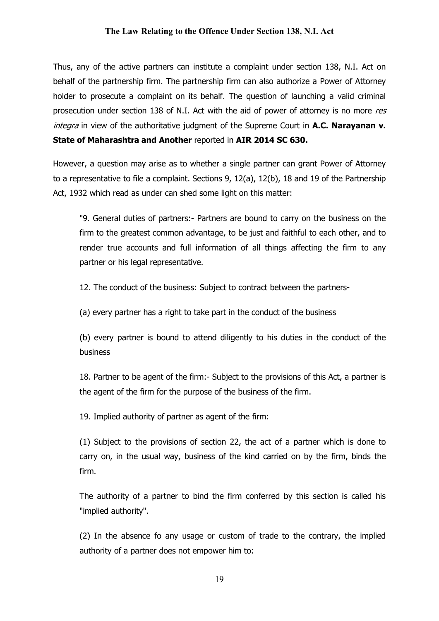Thus, any of the active partners can institute a complaint under section 138, N.I. Act on behalf of the partnership firm. The partnership firm can also authorize a Power of Attorney holder to prosecute a complaint on its behalf. The question of launching a valid criminal prosecution under section 138 of N.I. Act with the aid of power of attorney is no more res *integra* in view of the authoritative judgment of the Supreme Court in A.C. Naravanan v. State of Maharashtra and Another reported in AIR 2014 SC 630.

However, a question may arise as to whether a single partner can grant Power of Attorney to a representative to file a complaint. Sections 9, 12(a), 12(b), 18 and 19 of the Partnership Act, 1932 which read as under can shed some light on this matter:

"9. General duties of partners:- Partners are bound to carry on the business on the firm to the greatest common advantage, to be just and faithful to each other, and to render true accounts and full information of all things affecting the firm to any partner or his legal representative.

12. The conduct of the business: Subject to contract between the partners-

(a) every partner has a right to take part in the conduct of the business

(b) every partner is bound to attend diligently to his duties in the conduct of the business

18. Partner to be agent of the firm:- Subject to the provisions of this Act, a partner is the agent of the firm for the purpose of the business of the firm.

19. Implied authority of partner as agent of the firm:

(1) Subject to the provisions of section 22, the act of a partner which is done to carry on, in the usual way, business of the kind carried on by the firm, binds the firm.

The authority of a partner to bind the firm conferred by this section is called his "implied authority".

(2) In the absence fo any usage or custom of trade to the contrary, the implied authority of a partner does not empower him to:

19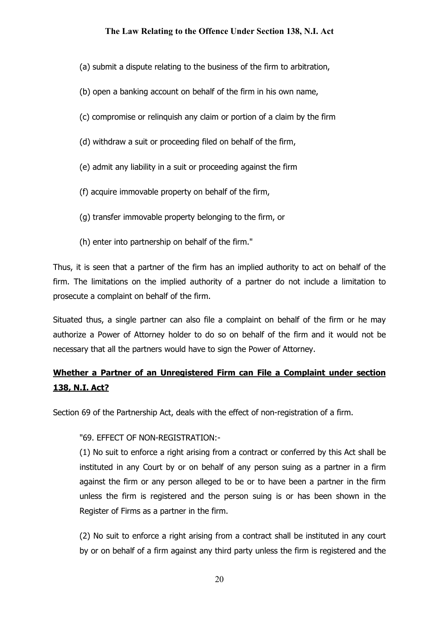- (a) submit a dispute relating to the business of the firm to arbitration,
- (b) open a banking account on behalf of the firm in his own name,
- (c) compromise or relinquish any claim or portion of a claim by the firm
- (d) withdraw a suit or proceeding filed on behalf of the firm,
- (e) admit any liability in a suit or proceeding against the firm
- (f) acquire immovable property on behalf of the firm,
- (g) transfer immovable property belonging to the firm, or
- (h) enter into partnership on behalf of the firm."

Thus, it is seen that a partner of the firm has an implied authority to act on behalf of the firm. The limitations on the implied authority of a partner do not include a limitation to prosecute a complaint on behalf of the firm.

Situated thus, a single partner can also file a complaint on behalf of the firm or he may authorize a Power of Attorney holder to do so on behalf of the firm and it would not be necessary that all the partners would have to sign the Power of Attorney.

# Whether a Partner of an Unregistered Firm can File a Complaint under section 138, N.I. Act?

Section 69 of the Partnership Act, deals with the effect of non-registration of a firm.

#### "69. EFFECT OF NON-REGISTRATION:-

(1) No suit to enforce a right arising from a contract or conferred by this Act shall be instituted in any Court by or on behalf of any person suing as a partner in a firm against the firm or any person alleged to be or to have been a partner in the firm unless the firm is registered and the person suing is or has been shown in the Register of Firms as a partner in the firm.

(2) No suit to enforce a right arising from a contract shall be instituted in any court by or on behalf of a firm against any third party unless the firm is registered and the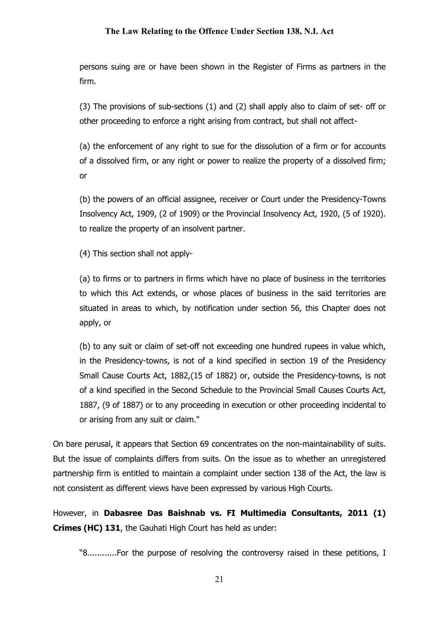persons suing are or have been shown in the Register of Firms as partners in the firm.

(3) The provisions of sub-sections (1) and (2) shall apply also to claim of set- off or other proceeding to enforce a right arising from contract, but shall not affect-

(a) the enforcement of any right to sue for the dissolution of a firm or for accounts of a dissolved firm, or any right or power to realize the property of a dissolved firm; or

(b) the powers of an official assignee, receiver or Court under the Presidency-Towns Insolvency Act, 1909, (2 of 1909) or the Provincial Insolvency Act, 1920, (5 of 1920). to realize the property of an insolvent partner.

(4) This section shall not apply-

(a) to firms or to partners in firms which have no place of business in the territories to which this Act extends, or whose places of business in the said territories are situated in areas to which, by notification under section 56, this Chapter does not apply, or

(b) to any suit or claim of set-off not exceeding one hundred rupees in value which, in the Presidency-towns, is not of a kind specified in section 19 of the Presidency Small Cause Courts Act, 1882,(15 of 1882) or, outside the Presidency-towns, is not of a kind specified in the Second Schedule to the Provincial Small Causes Courts Act, 1887, (9 of 1887) or to any proceeding in execution or other proceeding incidental to or arising from any suit or claim."

On bare perusal, it appears that Section 69 concentrates on the non-maintainability of suits. But the issue of complaints differs from suits. On the issue as to whether an unregistered partnership firm is entitled to maintain a complaint under section 138 of the Act, the law is not consistent as different views have been expressed by various High Courts.

However, in Dabasree Das Baishnab vs. FI Multimedia Consultants, 2011 (1) Crimes (HC) 131, the Gauhati High Court has held as under:

"8............For the purpose of resolving the controversy raised in these petitions, I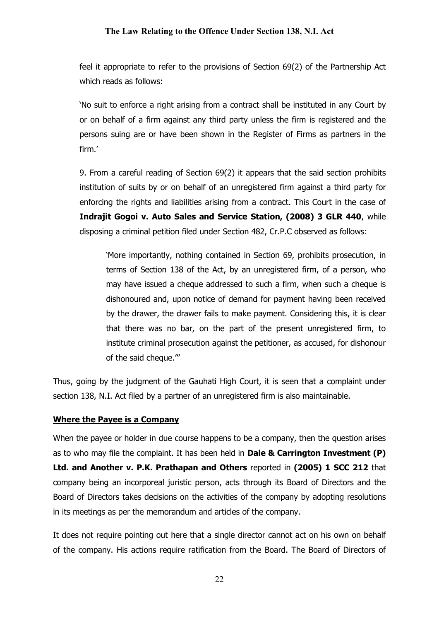feel it appropriate to refer to the provisions of Section 69(2) of the Partnership Act which reads as follows:

'No suit to enforce a right arising from a contract shall be instituted in any Court by or on behalf of a firm against any third party unless the firm is registered and the persons suing are or have been shown in the Register of Firms as partners in the firm.'

9. From a careful reading of Section 69(2) it appears that the said section prohibits institution of suits by or on behalf of an unregistered firm against a third party for enforcing the rights and liabilities arising from a contract. This Court in the case of Indrajit Gogoi v. Auto Sales and Service Station, (2008) 3 GLR 440, while disposing a criminal petition filed under Section 482, Cr.P.C observed as follows:

'More importantly, nothing contained in Section 69, prohibits prosecution, in terms of Section 138 of the Act, by an unregistered firm, of a person, who may have issued a cheque addressed to such a firm, when such a cheque is dishonoured and, upon notice of demand for payment having been received by the drawer, the drawer fails to make payment. Considering this, it is clear that there was no bar, on the part of the present unregistered firm, to institute criminal prosecution against the petitioner, as accused, for dishonour of the said cheque.'''

Thus, going by the judgment of the Gauhati High Court, it is seen that a complaint under section 138, N.I. Act filed by a partner of an unregistered firm is also maintainable.

#### Where the Payee is a Company

When the payee or holder in due course happens to be a company, then the question arises as to who may file the complaint. It has been held in Dale & Carrington Investment (P) Ltd. and Another v. P.K. Prathapan and Others reported in (2005) 1 SCC 212 that company being an incorporeal juristic person, acts through its Board of Directors and the Board of Directors takes decisions on the activities of the company by adopting resolutions in its meetings as per the memorandum and articles of the company.

It does not require pointing out here that a single director cannot act on his own on behalf of the company. His actions require ratification from the Board. The Board of Directors of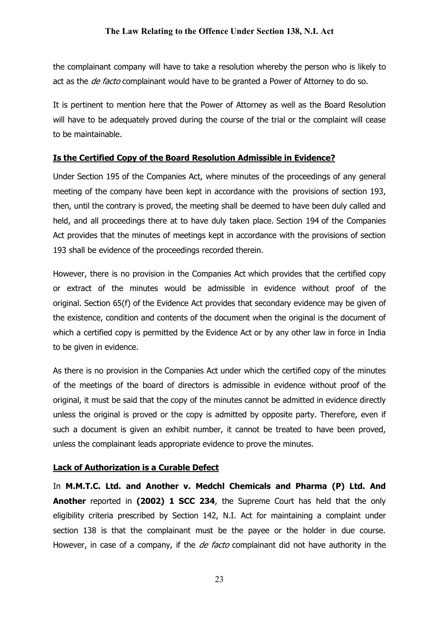the complainant company will have to take a resolution whereby the person who is likely to act as the *de facto* complainant would have to be granted a Power of Attorney to do so.

It is pertinent to mention here that the Power of Attorney as well as the Board Resolution will have to be adequately proved during the course of the trial or the complaint will cease to be maintainable.

## Is the Certified Copy of the Board Resolution Admissible in Evidence?

Under Section 195 of the Companies Act, where minutes of the proceedings of any general meeting of the company have been kept in accordance with the provisions of section 193, then, until the contrary is proved, the meeting shall be deemed to have been duly called and held, and all proceedings there at to have duly taken place. Section 194 of the Companies Act provides that the minutes of meetings kept in accordance with the provisions of section 193 shall be evidence of the proceedings recorded therein.

However, there is no provision in the Companies Act which provides that the certified copy or extract of the minutes would be admissible in evidence without proof of the original. Section 65(f) of the Evidence Act provides that secondary evidence may be given of the existence, condition and contents of the document when the original is the document of which a certified copy is permitted by the Evidence Act or by any other law in force in India to be given in evidence.

As there is no provision in the Companies Act under which the certified copy of the minutes of the meetings of the board of directors is admissible in evidence without proof of the original, it must be said that the copy of the minutes cannot be admitted in evidence directly unless the original is proved or the copy is admitted by opposite party. Therefore, even if such a document is given an exhibit number, it cannot be treated to have been proved, unless the complainant leads appropriate evidence to prove the minutes.

## Lack of Authorization is a Curable Defect

In M.M.T.C. Ltd. and Another v. Medchl Chemicals and Pharma (P) Ltd. And Another reported in (2002) 1 SCC 234, the Supreme Court has held that the only eligibility criteria prescribed by Section 142, N.I. Act for maintaining a complaint under section 138 is that the complainant must be the payee or the holder in due course. However, in case of a company, if the *de facto* complainant did not have authority in the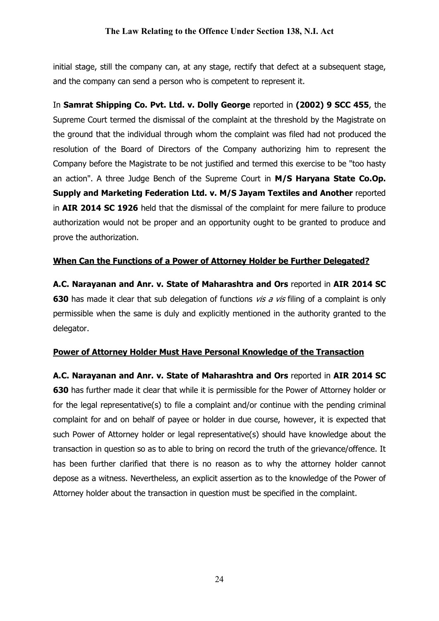initial stage, still the company can, at any stage, rectify that defect at a subsequent stage, and the company can send a person who is competent to represent it.

In Samrat Shipping Co. Pvt. Ltd. v. Dolly George reported in (2002) 9 SCC 455, the Supreme Court termed the dismissal of the complaint at the threshold by the Magistrate on the ground that the individual through whom the complaint was filed had not produced the resolution of the Board of Directors of the Company authorizing him to represent the Company before the Magistrate to be not justified and termed this exercise to be "too hasty an action". A three Judge Bench of the Supreme Court in M/S Haryana State Co.Op. Supply and Marketing Federation Ltd. v. M/S Jayam Textiles and Another reported in AIR 2014 SC 1926 held that the dismissal of the complaint for mere failure to produce authorization would not be proper and an opportunity ought to be granted to produce and prove the authorization.

## When Can the Functions of a Power of Attorney Holder be Further Delegated?

A.C. Narayanan and Anr. v. State of Maharashtra and Ors reported in AIR 2014 SC **630** has made it clear that sub delegation of functions  $vis a vis$  filing of a complaint is only permissible when the same is duly and explicitly mentioned in the authority granted to the delegator.

## Power of Attorney Holder Must Have Personal Knowledge of the Transaction

A.C. Narayanan and Anr. v. State of Maharashtra and Ors reported in AIR 2014 SC 630 has further made it clear that while it is permissible for the Power of Attorney holder or for the legal representative(s) to file a complaint and/or continue with the pending criminal complaint for and on behalf of payee or holder in due course, however, it is expected that such Power of Attorney holder or legal representative(s) should have knowledge about the transaction in question so as to able to bring on record the truth of the grievance/offence. It has been further clarified that there is no reason as to why the attorney holder cannot depose as a witness. Nevertheless, an explicit assertion as to the knowledge of the Power of Attorney holder about the transaction in question must be specified in the complaint.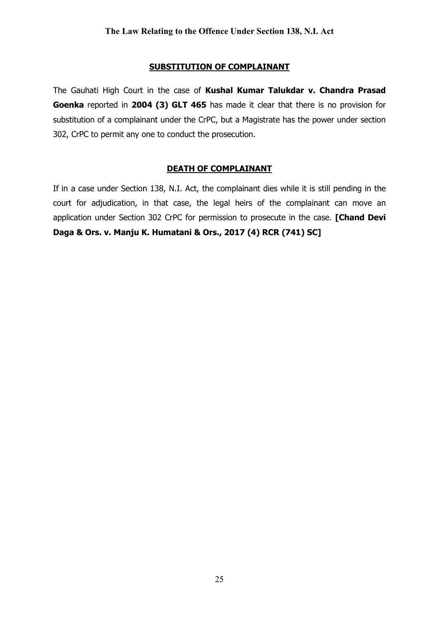## SUBSTITUTION OF COMPLAINANT

The Gauhati High Court in the case of Kushal Kumar Talukdar v. Chandra Prasad Goenka reported in 2004 (3) GLT 465 has made it clear that there is no provision for substitution of a complainant under the CrPC, but a Magistrate has the power under section 302, CrPC to permit any one to conduct the prosecution.

## DEATH OF COMPLAINANT

If in a case under Section 138, N.I. Act, the complainant dies while it is still pending in the court for adjudication, in that case, the legal heirs of the complainant can move an application under Section 302 CrPC for permission to prosecute in the case. [Chand Devi Daga & Ors. v. Manju K. Humatani & Ors., 2017 (4) RCR (741) SC]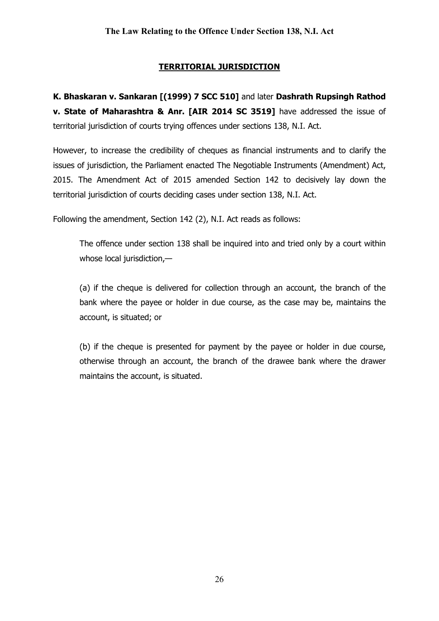## TERRITORIAL JURISDICTION

K. Bhaskaran v. Sankaran [(1999) 7 SCC 510] and later Dashrath Rupsingh Rathod v. State of Maharashtra & Anr. [AIR 2014 SC 3519] have addressed the issue of territorial jurisdiction of courts trying offences under sections 138, N.I. Act.

However, to increase the credibility of cheques as financial instruments and to clarify the issues of jurisdiction, the Parliament enacted The Negotiable Instruments (Amendment) Act, 2015. The Amendment Act of 2015 amended Section 142 to decisively lay down the territorial jurisdiction of courts deciding cases under section 138, N.I. Act.

Following the amendment, Section 142 (2), N.I. Act reads as follows:

The offence under section 138 shall be inquired into and tried only by a court within whose local jurisdiction,—

(a) if the cheque is delivered for collection through an account, the branch of the bank where the payee or holder in due course, as the case may be, maintains the account, is situated; or

(b) if the cheque is presented for payment by the payee or holder in due course, otherwise through an account, the branch of the drawee bank where the drawer maintains the account, is situated.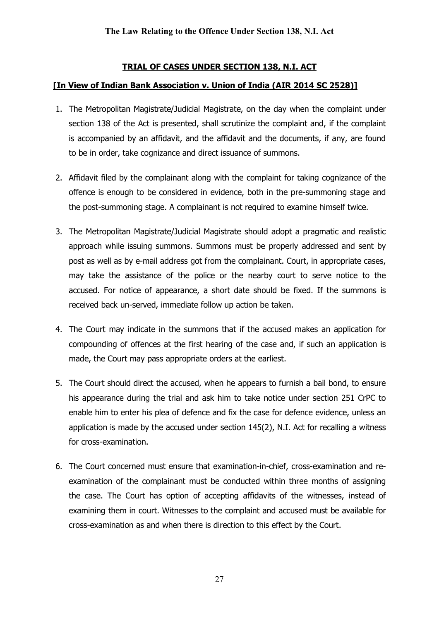## TRIAL OF CASES UNDER SECTION 138, N.I. ACT

## [In View of Indian Bank Association v. Union of India (AIR 2014 SC 2528)]

- 1. The Metropolitan Magistrate/Judicial Magistrate, on the day when the complaint under section 138 of the Act is presented, shall scrutinize the complaint and, if the complaint is accompanied by an affidavit, and the affidavit and the documents, if any, are found to be in order, take cognizance and direct issuance of summons.
- 2. Affidavit filed by the complainant along with the complaint for taking cognizance of the offence is enough to be considered in evidence, both in the pre-summoning stage and the post-summoning stage. A complainant is not required to examine himself twice.
- 3. The Metropolitan Magistrate/Judicial Magistrate should adopt a pragmatic and realistic approach while issuing summons. Summons must be properly addressed and sent by post as well as by e-mail address got from the complainant. Court, in appropriate cases, may take the assistance of the police or the nearby court to serve notice to the accused. For notice of appearance, a short date should be fixed. If the summons is received back un-served, immediate follow up action be taken.
- 4. The Court may indicate in the summons that if the accused makes an application for compounding of offences at the first hearing of the case and, if such an application is made, the Court may pass appropriate orders at the earliest.
- 5. The Court should direct the accused, when he appears to furnish a bail bond, to ensure his appearance during the trial and ask him to take notice under section 251 CrPC to enable him to enter his plea of defence and fix the case for defence evidence, unless an application is made by the accused under section 145(2), N.I. Act for recalling a witness for cross-examination.
- 6. The Court concerned must ensure that examination-in-chief, cross-examination and reexamination of the complainant must be conducted within three months of assigning the case. The Court has option of accepting affidavits of the witnesses, instead of examining them in court. Witnesses to the complaint and accused must be available for cross-examination as and when there is direction to this effect by the Court.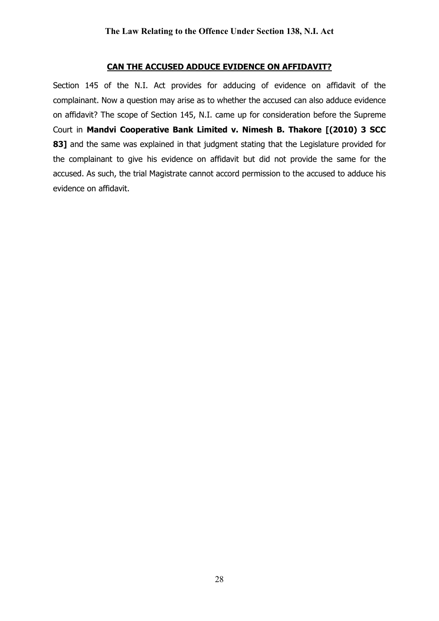#### CAN THE ACCUSED ADDUCE EVIDENCE ON AFFIDAVIT?

Section 145 of the N.I. Act provides for adducing of evidence on affidavit of the complainant. Now a question may arise as to whether the accused can also adduce evidence on affidavit? The scope of Section 145, N.I. came up for consideration before the Supreme Court in Mandvi Cooperative Bank Limited v. Nimesh B. Thakore [(2010) 3 SCC 83] and the same was explained in that judgment stating that the Legislature provided for the complainant to give his evidence on affidavit but did not provide the same for the accused. As such, the trial Magistrate cannot accord permission to the accused to adduce his evidence on affidavit.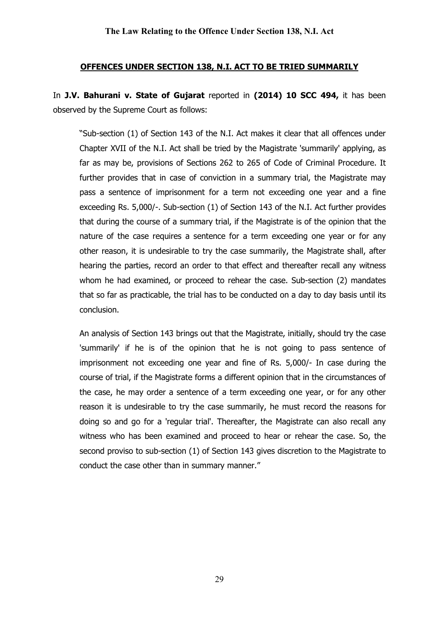## OFFENCES UNDER SECTION 138, N.I. ACT TO BE TRIED SUMMARILY

In J.V. Bahurani v. State of Gujarat reported in (2014) 10 SCC 494, it has been observed by the Supreme Court as follows:

"Sub-section (1) of Section 143 of the N.I. Act makes it clear that all offences under Chapter XVII of the N.I. Act shall be tried by the Magistrate 'summarily' applying, as far as may be, provisions of Sections 262 to 265 of Code of Criminal Procedure. It further provides that in case of conviction in a summary trial, the Magistrate may pass a sentence of imprisonment for a term not exceeding one year and a fine exceeding Rs. 5,000/-. Sub-section (1) of Section 143 of the N.I. Act further provides that during the course of a summary trial, if the Magistrate is of the opinion that the nature of the case requires a sentence for a term exceeding one year or for any other reason, it is undesirable to try the case summarily, the Magistrate shall, after hearing the parties, record an order to that effect and thereafter recall any witness whom he had examined, or proceed to rehear the case. Sub-section (2) mandates that so far as practicable, the trial has to be conducted on a day to day basis until its conclusion.

An analysis of Section 143 brings out that the Magistrate, initially, should try the case 'summarily' if he is of the opinion that he is not going to pass sentence of imprisonment not exceeding one year and fine of Rs. 5,000/- In case during the course of trial, if the Magistrate forms a different opinion that in the circumstances of the case, he may order a sentence of a term exceeding one year, or for any other reason it is undesirable to try the case summarily, he must record the reasons for doing so and go for a 'regular trial'. Thereafter, the Magistrate can also recall any witness who has been examined and proceed to hear or rehear the case. So, the second proviso to sub-section (1) of Section 143 gives discretion to the Magistrate to conduct the case other than in summary manner."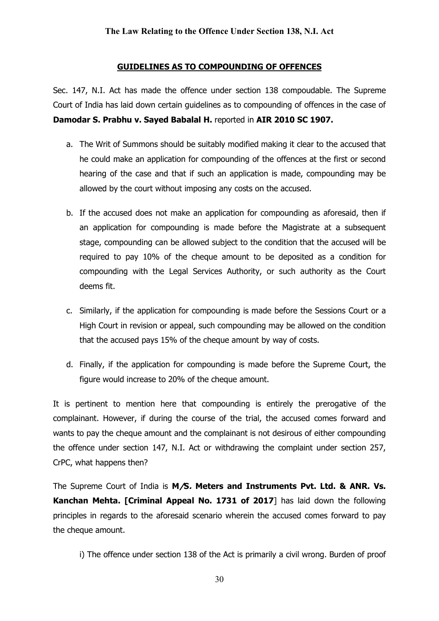#### GUIDELINES AS TO COMPOUNDING OF OFFENCES

Sec. 147, N.I. Act has made the offence under section 138 compoudable. The Supreme Court of India has laid down certain guidelines as to compounding of offences in the case of Damodar S. Prabhu v. Sayed Babalal H. reported in AIR 2010 SC 1907.

- a. The Writ of Summons should be suitably modified making it clear to the accused that he could make an application for compounding of the offences at the first or second hearing of the case and that if such an application is made, compounding may be allowed by the court without imposing any costs on the accused.
- b. If the accused does not make an application for compounding as aforesaid, then if an application for compounding is made before the Magistrate at a subsequent stage, compounding can be allowed subject to the condition that the accused will be required to pay 10% of the cheque amount to be deposited as a condition for compounding with the Legal Services Authority, or such authority as the Court deems fit.
- c. Similarly, if the application for compounding is made before the Sessions Court or a High Court in revision or appeal, such compounding may be allowed on the condition that the accused pays 15% of the cheque amount by way of costs.
- d. Finally, if the application for compounding is made before the Supreme Court, the figure would increase to 20% of the cheque amount.

It is pertinent to mention here that compounding is entirely the prerogative of the complainant. However, if during the course of the trial, the accused comes forward and wants to pay the cheque amount and the complainant is not desirous of either compounding the offence under section 147, N.I. Act or withdrawing the complaint under section 257, CrPC, what happens then?

The Supreme Court of India is M/S. Meters and Instruments Pvt. Ltd. & ANR. Vs. Kanchan Mehta. [Criminal Appeal No. 1731 of 2017] has laid down the following principles in regards to the aforesaid scenario wherein the accused comes forward to pay the cheque amount.

i) The offence under section 138 of the Act is primarily a civil wrong. Burden of proof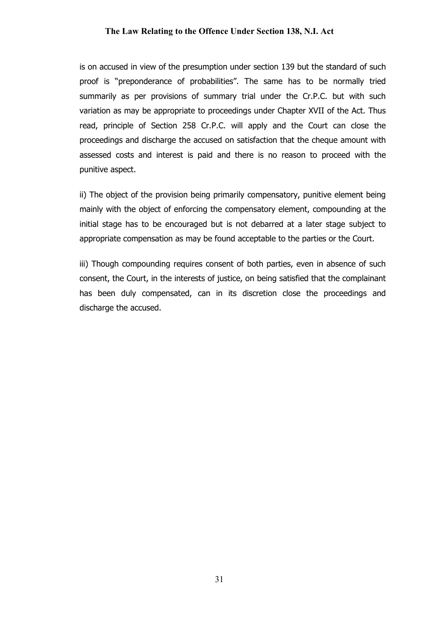is on accused in view of the presumption under section 139 but the standard of such proof is "preponderance of probabilities". The same has to be normally tried summarily as per provisions of summary trial under the Cr.P.C. but with such variation as may be appropriate to proceedings under Chapter XVII of the Act. Thus read, principle of Section 258 Cr.P.C. will apply and the Court can close the proceedings and discharge the accused on satisfaction that the cheque amount with assessed costs and interest is paid and there is no reason to proceed with the punitive aspect.

ii) The object of the provision being primarily compensatory, punitive element being mainly with the object of enforcing the compensatory element, compounding at the initial stage has to be encouraged but is not debarred at a later stage subject to appropriate compensation as may be found acceptable to the parties or the Court.

iii) Though compounding requires consent of both parties, even in absence of such consent, the Court, in the interests of justice, on being satisfied that the complainant has been duly compensated, can in its discretion close the proceedings and discharge the accused.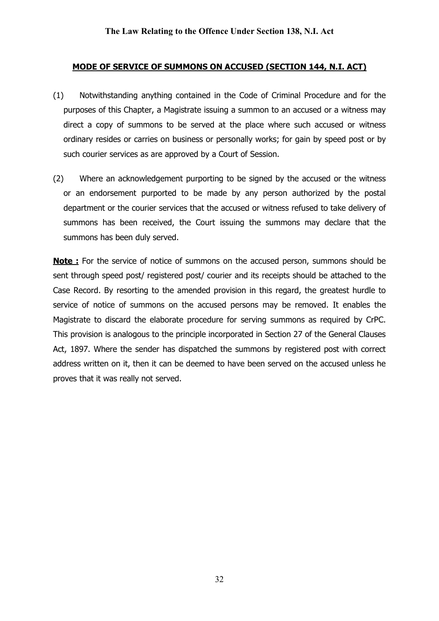## MODE OF SERVICE OF SUMMONS ON ACCUSED (SECTION 144, N.I. ACT)

- (1) Notwithstanding anything contained in the Code of Criminal Procedure and for the purposes of this Chapter, a Magistrate issuing a summon to an accused or a witness may direct a copy of summons to be served at the place where such accused or witness ordinary resides or carries on business or personally works; for gain by speed post or by such courier services as are approved by a Court of Session.
- (2) Where an acknowledgement purporting to be signed by the accused or the witness or an endorsement purported to be made by any person authorized by the postal department or the courier services that the accused or witness refused to take delivery of summons has been received, the Court issuing the summons may declare that the summons has been duly served.

**Note :** For the service of notice of summons on the accused person, summons should be sent through speed post/ registered post/ courier and its receipts should be attached to the Case Record. By resorting to the amended provision in this regard, the greatest hurdle to service of notice of summons on the accused persons may be removed. It enables the Magistrate to discard the elaborate procedure for serving summons as required by CrPC. This provision is analogous to the principle incorporated in Section 27 of the General Clauses Act, 1897. Where the sender has dispatched the summons by registered post with correct address written on it, then it can be deemed to have been served on the accused unless he proves that it was really not served.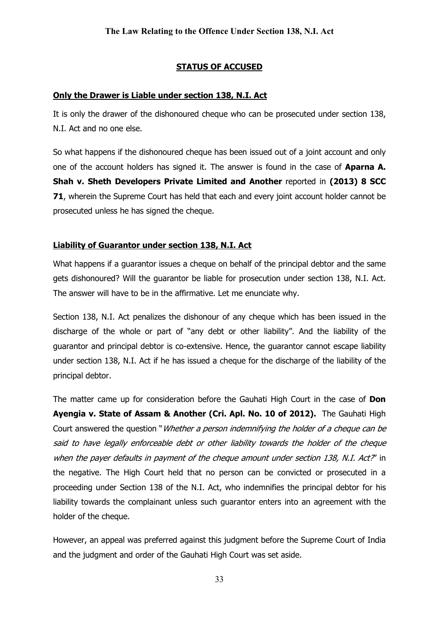## STATUS OF ACCUSED

## Only the Drawer is Liable under section 138, N.I. Act

It is only the drawer of the dishonoured cheque who can be prosecuted under section 138, N.I. Act and no one else.

So what happens if the dishonoured cheque has been issued out of a joint account and only one of the account holders has signed it. The answer is found in the case of **Aparna A.** Shah v. Sheth Developers Private Limited and Another reported in (2013) 8 SCC 71, wherein the Supreme Court has held that each and every joint account holder cannot be prosecuted unless he has signed the cheque.

## Liability of Guarantor under section 138, N.I. Act

What happens if a guarantor issues a cheque on behalf of the principal debtor and the same gets dishonoured? Will the guarantor be liable for prosecution under section 138, N.I. Act. The answer will have to be in the affirmative. Let me enunciate why.

Section 138, N.I. Act penalizes the dishonour of any cheque which has been issued in the discharge of the whole or part of "any debt or other liability". And the liability of the guarantor and principal debtor is co-extensive. Hence, the guarantor cannot escape liability under section 138, N.I. Act if he has issued a cheque for the discharge of the liability of the principal debtor.

The matter came up for consideration before the Gauhati High Court in the case of Don Ayengia v. State of Assam & Another (Cri. Apl. No. 10 of 2012). The Gauhati High Court answered the question "*Whether a person indemnifying the holder of a cheque can be* said to have legally enforceable debt or other liability towards the holder of the cheque when the payer defaults in payment of the cheque amount under section 138, N.I. Act?' in the negative. The High Court held that no person can be convicted or prosecuted in a proceeding under Section 138 of the N.I. Act, who indemnifies the principal debtor for his liability towards the complainant unless such guarantor enters into an agreement with the holder of the cheque.

However, an appeal was preferred against this judgment before the Supreme Court of India and the judgment and order of the Gauhati High Court was set aside.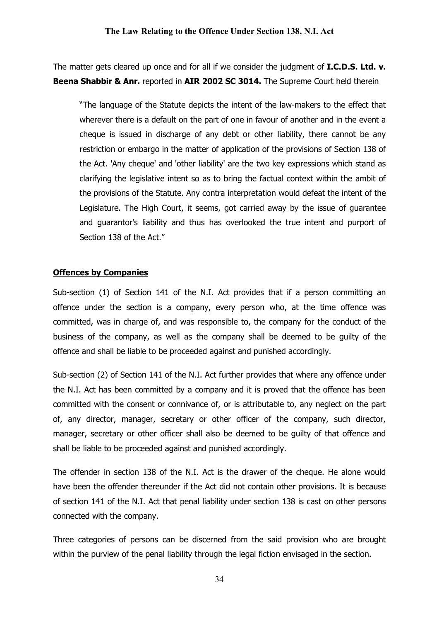The matter gets cleared up once and for all if we consider the judgment of **I.C.D.S. Ltd. v.** Beena Shabbir & Anr. reported in AIR 2002 SC 3014. The Supreme Court held therein

"The language of the Statute depicts the intent of the law-makers to the effect that wherever there is a default on the part of one in favour of another and in the event a cheque is issued in discharge of any debt or other liability, there cannot be any restriction or embargo in the matter of application of the provisions of Section 138 of the Act. 'Any cheque' and 'other liability' are the two key expressions which stand as clarifying the legislative intent so as to bring the factual context within the ambit of the provisions of the Statute. Any contra interpretation would defeat the intent of the Legislature. The High Court, it seems, got carried away by the issue of guarantee and guarantor's liability and thus has overlooked the true intent and purport of Section 138 of the Act."

## Offences by Companies

Sub-section (1) of Section 141 of the N.I. Act provides that if a person committing an offence under the section is a company, every person who, at the time offence was committed, was in charge of, and was responsible to, the company for the conduct of the business of the company, as well as the company shall be deemed to be guilty of the offence and shall be liable to be proceeded against and punished accordingly.

Sub-section (2) of Section 141 of the N.I. Act further provides that where any offence under the N.I. Act has been committed by a company and it is proved that the offence has been committed with the consent or connivance of, or is attributable to, any neglect on the part of, any director, manager, secretary or other officer of the company, such director, manager, secretary or other officer shall also be deemed to be guilty of that offence and shall be liable to be proceeded against and punished accordingly.

The offender in section 138 of the N.I. Act is the drawer of the cheque. He alone would have been the offender thereunder if the Act did not contain other provisions. It is because of section 141 of the N.I. Act that penal liability under section 138 is cast on other persons connected with the company.

Three categories of persons can be discerned from the said provision who are brought within the purview of the penal liability through the legal fiction envisaged in the section.

34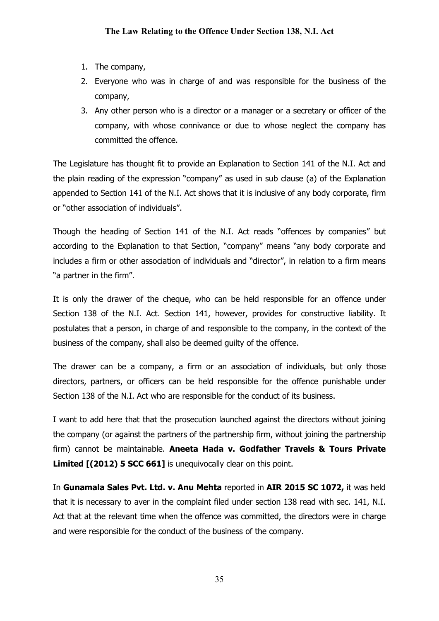- 1. The company,
- 2. Everyone who was in charge of and was responsible for the business of the company,
- 3. Any other person who is a director or a manager or a secretary or officer of the company, with whose connivance or due to whose neglect the company has committed the offence.

The Legislature has thought fit to provide an Explanation to Section 141 of the N.I. Act and the plain reading of the expression "company" as used in sub clause (a) of the Explanation appended to Section 141 of the N.I. Act shows that it is inclusive of any body corporate, firm or "other association of individuals".

Though the heading of Section 141 of the N.I. Act reads "offences by companies" but according to the Explanation to that Section, "company" means "any body corporate and includes a firm or other association of individuals and "director", in relation to a firm means "a partner in the firm".

It is only the drawer of the cheque, who can be held responsible for an offence under Section 138 of the N.I. Act. Section 141, however, provides for constructive liability. It postulates that a person, in charge of and responsible to the company, in the context of the business of the company, shall also be deemed guilty of the offence.

The drawer can be a company, a firm or an association of individuals, but only those directors, partners, or officers can be held responsible for the offence punishable under Section 138 of the N.I. Act who are responsible for the conduct of its business.

I want to add here that that the prosecution launched against the directors without joining the company (or against the partners of the partnership firm, without joining the partnership firm) cannot be maintainable. Aneeta Hada v. Godfather Travels & Tours Private Limited  $[(2012) 5 5CC 661]$  is unequivocally clear on this point.

In Gunamala Sales Pvt. Ltd. v. Anu Mehta reported in AIR 2015 SC 1072, it was held that it is necessary to aver in the complaint filed under section 138 read with sec. 141, N.I. Act that at the relevant time when the offence was committed, the directors were in charge and were responsible for the conduct of the business of the company.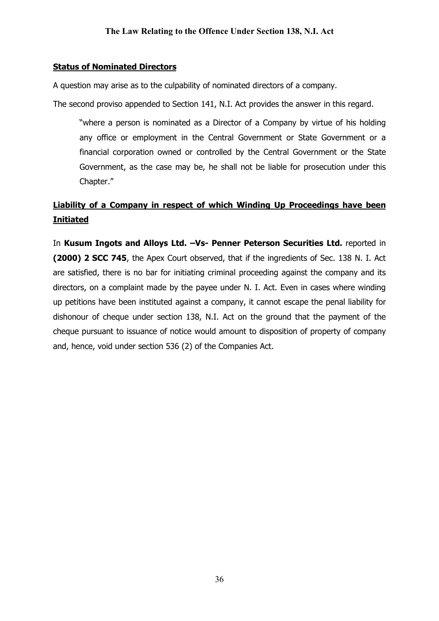## Status of Nominated Directors

A question may arise as to the culpability of nominated directors of a company.

The second proviso appended to Section 141, N.I. Act provides the answer in this regard.

"where a person is nominated as a Director of a Company by virtue of his holding any office or employment in the Central Government or State Government or a financial corporation owned or controlled by the Central Government or the State Government, as the case may be, he shall not be liable for prosecution under this Chapter."

# Liability of a Company in respect of which Winding Up Proceedings have been Initiated

In Kusum Ingots and Alloys Ltd. - Vs- Penner Peterson Securities Ltd. reported in (2000) 2 SCC 745, the Apex Court observed, that if the ingredients of Sec. 138 N. I. Act are satisfied, there is no bar for initiating criminal proceeding against the company and its directors, on a complaint made by the payee under N. I. Act. Even in cases where winding up petitions have been instituted against a company, it cannot escape the penal liability for dishonour of cheque under section 138, N.I. Act on the ground that the payment of the cheque pursuant to issuance of notice would amount to disposition of property of company and, hence, void under section 536 (2) of the Companies Act.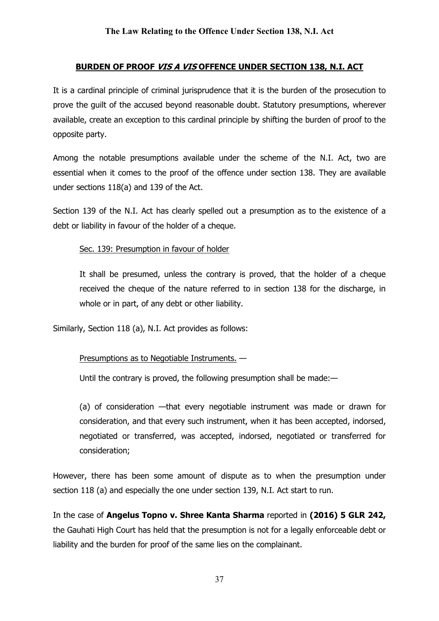## BURDEN OF PROOF VIS A VIS OFFENCE UNDER SECTION 138, N.I. ACT

It is a cardinal principle of criminal jurisprudence that it is the burden of the prosecution to prove the guilt of the accused beyond reasonable doubt. Statutory presumptions, wherever available, create an exception to this cardinal principle by shifting the burden of proof to the opposite party.

Among the notable presumptions available under the scheme of the N.I. Act, two are essential when it comes to the proof of the offence under section 138. They are available under sections 118(a) and 139 of the Act.

Section 139 of the N.I. Act has clearly spelled out a presumption as to the existence of a debt or liability in favour of the holder of a cheque.

## Sec. 139: Presumption in favour of holder

It shall be presumed, unless the contrary is proved, that the holder of a cheque received the cheque of the nature referred to in section 138 for the discharge, in whole or in part, of any debt or other liability.

Similarly, Section 118 (a), N.I. Act provides as follows:

## Presumptions as to Negotiable Instruments. —

Until the contrary is proved, the following presumption shall be made:—

(a) of consideration —that every negotiable instrument was made or drawn for consideration, and that every such instrument, when it has been accepted, indorsed, negotiated or transferred, was accepted, indorsed, negotiated or transferred for consideration;

However, there has been some amount of dispute as to when the presumption under section 118 (a) and especially the one under section 139, N.I. Act start to run.

In the case of Angelus Topno v. Shree Kanta Sharma reported in (2016) 5 GLR 242, the Gauhati High Court has held that the presumption is not for a legally enforceable debt or liability and the burden for proof of the same lies on the complainant.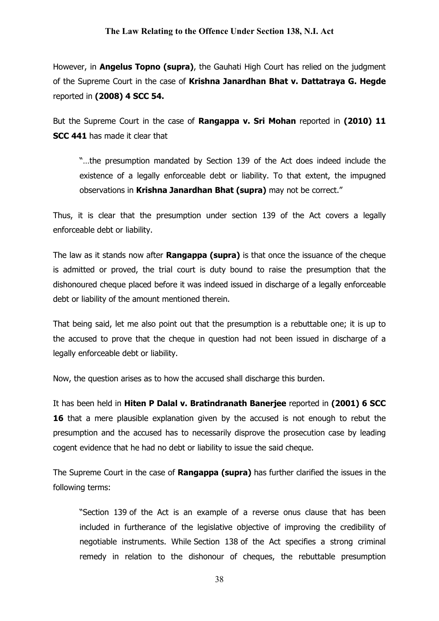However, in **Angelus Topno (supra)**, the Gauhati High Court has relied on the judgment of the Supreme Court in the case of Krishna Janardhan Bhat v. Dattatraya G. Hegde reported in (2008) 4 SCC 54.

But the Supreme Court in the case of Rangappa v. Sri Mohan reported in (2010) 11 SCC 441 has made it clear that

"…the presumption mandated by Section 139 of the Act does indeed include the existence of a legally enforceable debt or liability. To that extent, the impugned observations in Krishna Janardhan Bhat (supra) may not be correct."

Thus, it is clear that the presumption under section 139 of the Act covers a legally enforceable debt or liability.

The law as it stands now after **Rangappa (supra)** is that once the issuance of the cheque is admitted or proved, the trial court is duty bound to raise the presumption that the dishonoured cheque placed before it was indeed issued in discharge of a legally enforceable debt or liability of the amount mentioned therein.

That being said, let me also point out that the presumption is a rebuttable one; it is up to the accused to prove that the cheque in question had not been issued in discharge of a legally enforceable debt or liability.

Now, the question arises as to how the accused shall discharge this burden.

It has been held in Hiten P Dalal v. Bratindranath Banerjee reported in (2001) 6 SCC 16 that a mere plausible explanation given by the accused is not enough to rebut the presumption and the accused has to necessarily disprove the prosecution case by leading cogent evidence that he had no debt or liability to issue the said cheque.

The Supreme Court in the case of **Rangappa (supra)** has further clarified the issues in the following terms:

"Section 139 of the Act is an example of a reverse onus clause that has been included in furtherance of the legislative objective of improving the credibility of negotiable instruments. While Section 138 of the Act specifies a strong criminal remedy in relation to the dishonour of cheques, the rebuttable presumption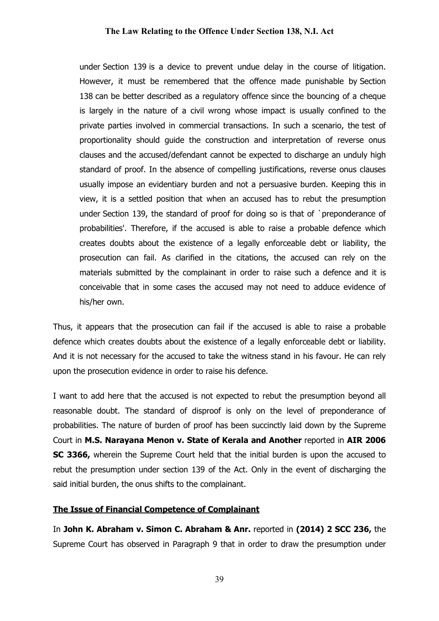under Section 139 is a device to prevent undue delay in the course of litigation. However, it must be remembered that the offence made punishable by Section 138 can be better described as a regulatory offence since the bouncing of a cheque is largely in the nature of a civil wrong whose impact is usually confined to the private parties involved in commercial transactions. In such a scenario, the test of proportionality should guide the construction and interpretation of reverse onus clauses and the accused/defendant cannot be expected to discharge an unduly high standard of proof. In the absence of compelling justifications, reverse onus clauses usually impose an evidentiary burden and not a persuasive burden. Keeping this in view, it is a settled position that when an accused has to rebut the presumption under Section 139, the standard of proof for doing so is that of `preponderance of probabilities'. Therefore, if the accused is able to raise a probable defence which creates doubts about the existence of a legally enforceable debt or liability, the prosecution can fail. As clarified in the citations, the accused can rely on the materials submitted by the complainant in order to raise such a defence and it is conceivable that in some cases the accused may not need to adduce evidence of his/her own.

Thus, it appears that the prosecution can fail if the accused is able to raise a probable defence which creates doubts about the existence of a legally enforceable debt or liability. And it is not necessary for the accused to take the witness stand in his favour. He can rely upon the prosecution evidence in order to raise his defence.

I want to add here that the accused is not expected to rebut the presumption beyond all reasonable doubt. The standard of disproof is only on the level of preponderance of probabilities. The nature of burden of proof has been succinctly laid down by the Supreme Court in M.S. Narayana Menon v. State of Kerala and Another reported in AIR 2006 SC 3366, wherein the Supreme Court held that the initial burden is upon the accused to rebut the presumption under section 139 of the Act. Only in the event of discharging the said initial burden, the onus shifts to the complainant.

#### The Issue of Financial Competence of Complainant

In John K. Abraham v. Simon C. Abraham & Anr. reported in (2014) 2 SCC 236, the Supreme Court has observed in Paragraph 9 that in order to draw the presumption under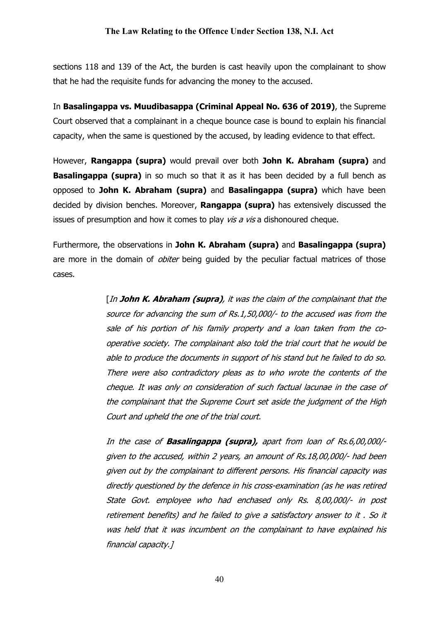sections 118 and 139 of the Act, the burden is cast heavily upon the complainant to show that he had the requisite funds for advancing the money to the accused.

In Basalingappa vs. Muudibasappa (Criminal Appeal No. 636 of 2019), the Supreme Court observed that a complainant in a cheque bounce case is bound to explain his financial capacity, when the same is questioned by the accused, by leading evidence to that effect.

However, Rangappa (supra) would prevail over both John K. Abraham (supra) and **Basalingappa (supra)** in so much so that it as it has been decided by a full bench as opposed to John K. Abraham (supra) and Basalingappa (supra) which have been decided by division benches. Moreover, Rangappa (supra) has extensively discussed the issues of presumption and how it comes to play vis a vis a dishonoured cheque.

Furthermore, the observations in John K. Abraham (supra) and Basalingappa (supra) are more in the domain of *obiter* being guided by the peculiar factual matrices of those cases.

> [In John K. Abraham (supra), it was the claim of the complainant that the source for advancing the sum of Rs.1,50,000/- to the accused was from the sale of his portion of his family property and a loan taken from the cooperative society. The complainant also told the trial court that he would be able to produce the documents in support of his stand but he failed to do so. There were also contradictory pleas as to who wrote the contents of the cheque. It was only on consideration of such factual lacunae in the case of the complainant that the Supreme Court set aside the judgment of the High Court and upheld the one of the trial court.

> In the case of **Basalingappa (supra)**, apart from loan of Rs.6,00,000/given to the accused, within 2 years, an amount of Rs.18,00,000/- had been given out by the complainant to different persons. His financial capacity was directly questioned by the defence in his cross-examination (as he was retired State Govt. employee who had enchased only Rs. 8,00,000/- in post retirement benefits) and he failed to give a satisfactory answer to it . So it was held that it was incumbent on the complainant to have explained his financial capacity.]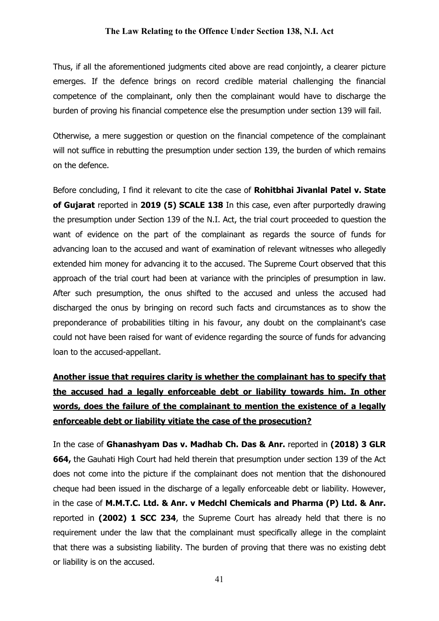Thus, if all the aforementioned judgments cited above are read conjointly, a clearer picture emerges. If the defence brings on record credible material challenging the financial competence of the complainant, only then the complainant would have to discharge the burden of proving his financial competence else the presumption under section 139 will fail.

Otherwise, a mere suggestion or question on the financial competence of the complainant will not suffice in rebutting the presumption under section 139, the burden of which remains on the defence.

Before concluding, I find it relevant to cite the case of **Rohitbhai Jivanlal Patel v. State** of Gujarat reported in 2019 (5) SCALE 138 In this case, even after purportedly drawing the presumption under Section 139 of the N.I. Act, the trial court proceeded to question the want of evidence on the part of the complainant as regards the source of funds for advancing loan to the accused and want of examination of relevant witnesses who allegedly extended him money for advancing it to the accused. The Supreme Court observed that this approach of the trial court had been at variance with the principles of presumption in law. After such presumption, the onus shifted to the accused and unless the accused had discharged the onus by bringing on record such facts and circumstances as to show the preponderance of probabilities tilting in his favour, any doubt on the complainant's case could not have been raised for want of evidence regarding the source of funds for advancing loan to the accused-appellant.

# Another issue that requires clarity is whether the complainant has to specify that the accused had a legally enforceable debt or liability towards him. In other words, does the failure of the complainant to mention the existence of a legally enforceable debt or liability vitiate the case of the prosecution?

In the case of Ghanashyam Das v. Madhab Ch. Das & Anr. reported in (2018) 3 GLR 664, the Gauhati High Court had held therein that presumption under section 139 of the Act does not come into the picture if the complainant does not mention that the dishonoured cheque had been issued in the discharge of a legally enforceable debt or liability. However, in the case of M.M.T.C. Ltd. & Anr. v Medchl Chemicals and Pharma (P) Ltd. & Anr. reported in (2002) 1 SCC 234, the Supreme Court has already held that there is no requirement under the law that the complainant must specifically allege in the complaint that there was a subsisting liability. The burden of proving that there was no existing debt or liability is on the accused.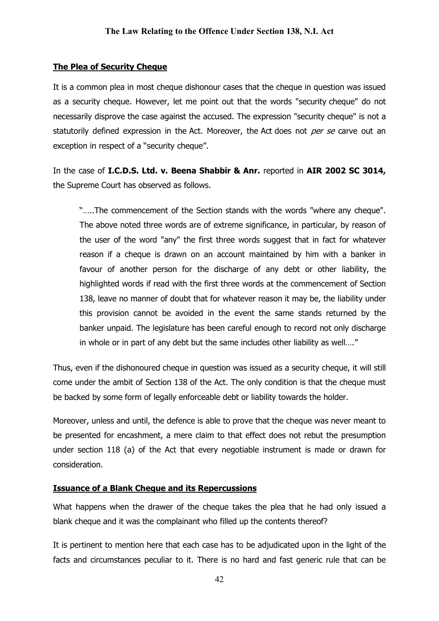## The Plea of Security Cheque

It is a common plea in most cheque dishonour cases that the cheque in question was issued as a security cheque. However, let me point out that the words "security cheque" do not necessarily disprove the case against the accused. The expression "security cheque" is not a statutorily defined expression in the Act. Moreover, the Act does not per se carve out an exception in respect of a "security cheque".

In the case of I.C.D.S. Ltd. v. Beena Shabbir & Anr. reported in AIR 2002 SC 3014, the Supreme Court has observed as follows.

"…..The commencement of the Section stands with the words "where any cheque". The above noted three words are of extreme significance, in particular, by reason of the user of the word "any" the first three words suggest that in fact for whatever reason if a cheque is drawn on an account maintained by him with a banker in favour of another person for the discharge of any debt or other liability, the highlighted words if read with the first three words at the commencement of Section 138, leave no manner of doubt that for whatever reason it may be, the liability under this provision cannot be avoided in the event the same stands returned by the banker unpaid. The legislature has been careful enough to record not only discharge in whole or in part of any debt but the same includes other liability as well…."

Thus, even if the dishonoured cheque in question was issued as a security cheque, it will still come under the ambit of Section 138 of the Act. The only condition is that the cheque must be backed by some form of legally enforceable debt or liability towards the holder.

Moreover, unless and until, the defence is able to prove that the cheque was never meant to be presented for encashment, a mere claim to that effect does not rebut the presumption under section 118 (a) of the Act that every negotiable instrument is made or drawn for consideration.

#### Issuance of a Blank Cheque and its Repercussions

What happens when the drawer of the cheque takes the plea that he had only issued a blank cheque and it was the complainant who filled up the contents thereof?

It is pertinent to mention here that each case has to be adjudicated upon in the light of the facts and circumstances peculiar to it. There is no hard and fast generic rule that can be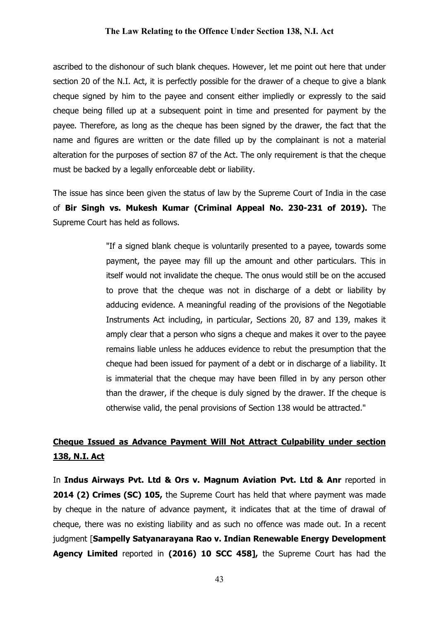ascribed to the dishonour of such blank cheques. However, let me point out here that under section 20 of the N.I. Act, it is perfectly possible for the drawer of a cheque to give a blank cheque signed by him to the payee and consent either impliedly or expressly to the said cheque being filled up at a subsequent point in time and presented for payment by the payee. Therefore, as long as the cheque has been signed by the drawer, the fact that the name and figures are written or the date filled up by the complainant is not a material alteration for the purposes of section 87 of the Act. The only requirement is that the cheque must be backed by a legally enforceable debt or liability.

The issue has since been given the status of law by the Supreme Court of India in the case of Bir Singh vs. Mukesh Kumar (Criminal Appeal No. 230-231 of 2019). The Supreme Court has held as follows.

> "If a signed blank cheque is voluntarily presented to a payee, towards some payment, the payee may fill up the amount and other particulars. This in itself would not invalidate the cheque. The onus would still be on the accused to prove that the cheque was not in discharge of a debt or liability by adducing evidence. A meaningful reading of the provisions of the Negotiable Instruments Act including, in particular, Sections 20, 87 and 139, makes it amply clear that a person who signs a cheque and makes it over to the payee remains liable unless he adduces evidence to rebut the presumption that the cheque had been issued for payment of a debt or in discharge of a liability. It is immaterial that the cheque may have been filled in by any person other than the drawer, if the cheque is duly signed by the drawer. If the cheque is otherwise valid, the penal provisions of Section 138 would be attracted."

# Cheque Issued as Advance Payment Will Not Attract Culpability under section 138, N.I. Act

In Indus Airways Pvt. Ltd & Ors v. Magnum Aviation Pvt. Ltd & Anr reported in 2014 (2) Crimes (SC) 105, the Supreme Court has held that where payment was made by cheque in the nature of advance payment, it indicates that at the time of drawal of cheque, there was no existing liability and as such no offence was made out. In a recent judgment [Sampelly Satyanarayana Rao v. Indian Renewable Energy Development Agency Limited reported in (2016) 10 SCC 458], the Supreme Court has had the

43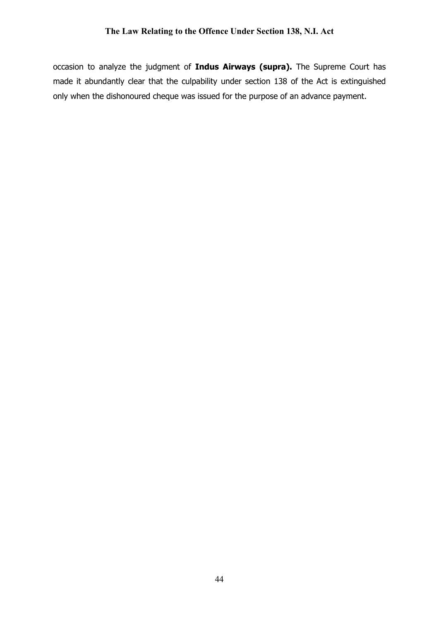occasion to analyze the judgment of Indus Airways (supra). The Supreme Court has made it abundantly clear that the culpability under section 138 of the Act is extinguished only when the dishonoured cheque was issued for the purpose of an advance payment.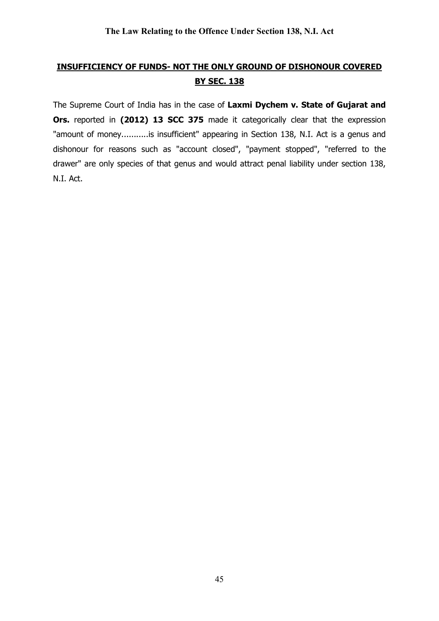# INSUFFICIENCY OF FUNDS- NOT THE ONLY GROUND OF DISHONOUR COVERED **BY SEC. 138**

The Supreme Court of India has in the case of Laxmi Dychem v. State of Gujarat and Ors. reported in (2012) 13 SCC 375 made it categorically clear that the expression "amount of money...........is insufficient" appearing in Section 138, N.I. Act is a genus and dishonour for reasons such as "account closed", "payment stopped", "referred to the drawer" are only species of that genus and would attract penal liability under section 138, N.I. Act.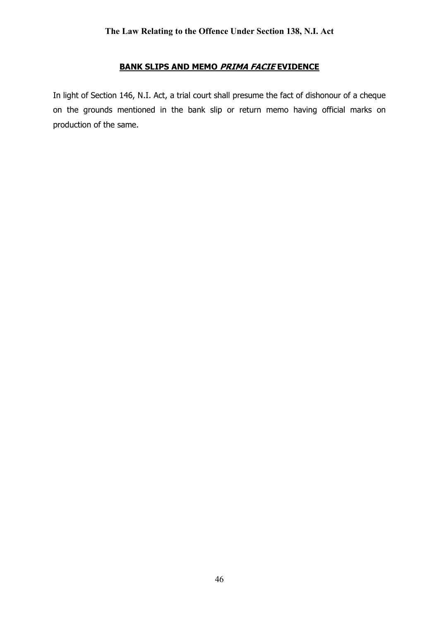## BANK SLIPS AND MEMO PRIMA FACIE EVIDENCE

In light of Section 146, N.I. Act, a trial court shall presume the fact of dishonour of a cheque on the grounds mentioned in the bank slip or return memo having official marks on production of the same.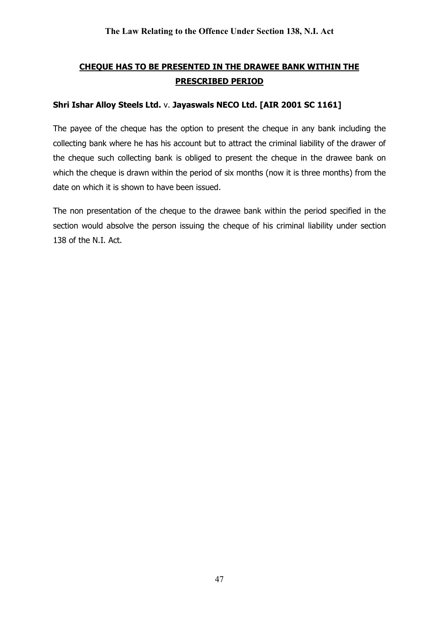# CHEQUE HAS TO BE PRESENTED IN THE DRAWEE BANK WITHIN THE PRESCRIBED PERIOD

## Shri Ishar Alloy Steels Ltd. v. Jayaswals NECO Ltd. [AIR 2001 SC 1161]

The payee of the cheque has the option to present the cheque in any bank including the collecting bank where he has his account but to attract the criminal liability of the drawer of the cheque such collecting bank is obliged to present the cheque in the drawee bank on which the cheque is drawn within the period of six months (now it is three months) from the date on which it is shown to have been issued.

The non presentation of the cheque to the drawee bank within the period specified in the section would absolve the person issuing the cheque of his criminal liability under section 138 of the N.I. Act.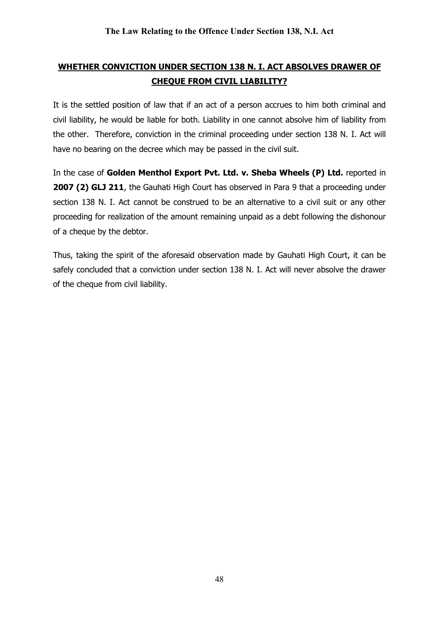# WHETHER CONVICTION UNDER SECTION 138 N. I. ACT ABSOLVES DRAWER OF CHEQUE FROM CIVIL LIABILITY?

It is the settled position of law that if an act of a person accrues to him both criminal and civil liability, he would be liable for both. Liability in one cannot absolve him of liability from the other. Therefore, conviction in the criminal proceeding under section 138 N. I. Act will have no bearing on the decree which may be passed in the civil suit.

In the case of Golden Menthol Export Pvt. Ltd. v. Sheba Wheels (P) Ltd. reported in 2007 (2) GLJ 211, the Gauhati High Court has observed in Para 9 that a proceeding under section 138 N. I. Act cannot be construed to be an alternative to a civil suit or any other proceeding for realization of the amount remaining unpaid as a debt following the dishonour of a cheque by the debtor.

Thus, taking the spirit of the aforesaid observation made by Gauhati High Court, it can be safely concluded that a conviction under section 138 N. I. Act will never absolve the drawer of the cheque from civil liability.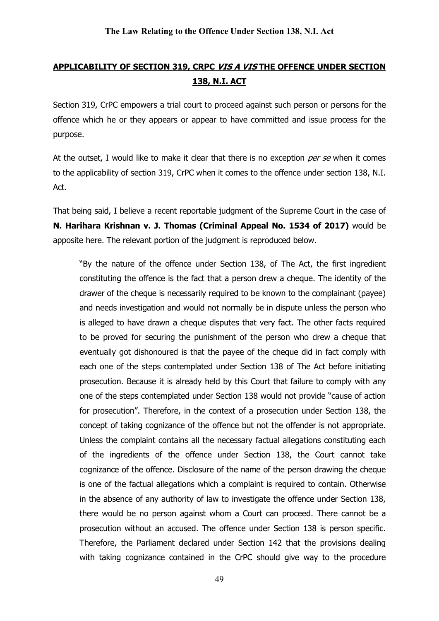# APPLICABILITY OF SECTION 319, CRPC VIS A VISTHE OFFENCE UNDER SECTION 138, N.I. ACT

Section 319, CrPC empowers a trial court to proceed against such person or persons for the offence which he or they appears or appear to have committed and issue process for the purpose.

At the outset, I would like to make it clear that there is no exception per se when it comes to the applicability of section 319, CrPC when it comes to the offence under section 138, N.I. Act.

That being said, I believe a recent reportable judgment of the Supreme Court in the case of N. Harihara Krishnan v. J. Thomas (Criminal Appeal No. 1534 of 2017) would be apposite here. The relevant portion of the judgment is reproduced below.

"By the nature of the offence under Section 138, of The Act, the first ingredient constituting the offence is the fact that a person drew a cheque. The identity of the drawer of the cheque is necessarily required to be known to the complainant (payee) and needs investigation and would not normally be in dispute unless the person who is alleged to have drawn a cheque disputes that very fact. The other facts required to be proved for securing the punishment of the person who drew a cheque that eventually got dishonoured is that the payee of the cheque did in fact comply with each one of the steps contemplated under Section 138 of The Act before initiating prosecution. Because it is already held by this Court that failure to comply with any one of the steps contemplated under Section 138 would not provide "cause of action for prosecution". Therefore, in the context of a prosecution under Section 138, the concept of taking cognizance of the offence but not the offender is not appropriate. Unless the complaint contains all the necessary factual allegations constituting each of the ingredients of the offence under Section 138, the Court cannot take cognizance of the offence. Disclosure of the name of the person drawing the cheque is one of the factual allegations which a complaint is required to contain. Otherwise in the absence of any authority of law to investigate the offence under Section 138, there would be no person against whom a Court can proceed. There cannot be a prosecution without an accused. The offence under Section 138 is person specific. Therefore, the Parliament declared under Section 142 that the provisions dealing with taking cognizance contained in the CrPC should give way to the procedure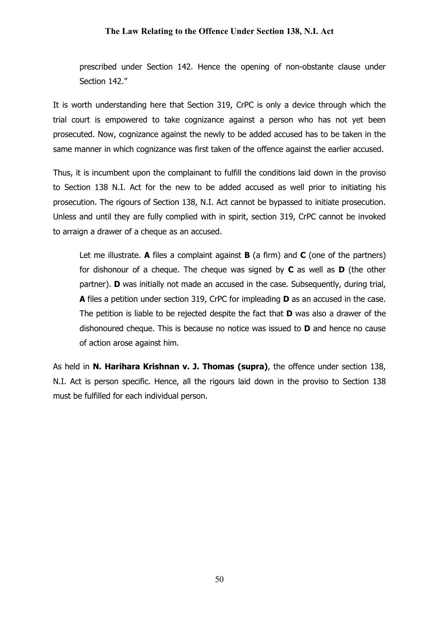prescribed under Section 142. Hence the opening of non-obstante clause under Section 142."

It is worth understanding here that Section 319, CrPC is only a device through which the trial court is empowered to take cognizance against a person who has not yet been prosecuted. Now, cognizance against the newly to be added accused has to be taken in the same manner in which cognizance was first taken of the offence against the earlier accused.

Thus, it is incumbent upon the complainant to fulfill the conditions laid down in the proviso to Section 138 N.I. Act for the new to be added accused as well prior to initiating his prosecution. The rigours of Section 138, N.I. Act cannot be bypassed to initiate prosecution. Unless and until they are fully complied with in spirit, section 319, CrPC cannot be invoked to arraign a drawer of a cheque as an accused.

Let me illustrate. A files a complaint against  $B$  (a firm) and  $C$  (one of the partners) for dishonour of a cheque. The cheque was signed by  $C$  as well as  $D$  (the other partner). D was initially not made an accused in the case. Subsequently, during trial, A files a petition under section 319, CrPC for impleading D as an accused in the case. The petition is liable to be rejected despite the fact that **D** was also a drawer of the dishonoured cheque. This is because no notice was issued to D and hence no cause of action arose against him.

As held in N. Harihara Krishnan v. J. Thomas (supra), the offence under section 138, N.I. Act is person specific. Hence, all the rigours laid down in the proviso to Section 138 must be fulfilled for each individual person.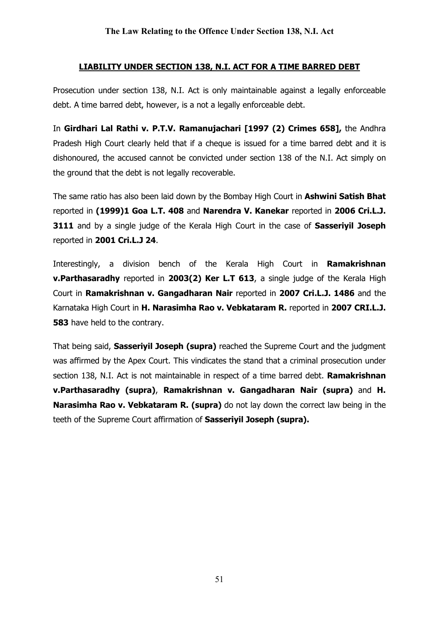## LIABILITY UNDER SECTION 138, N.I. ACT FOR A TIME BARRED DEBT

Prosecution under section 138, N.I. Act is only maintainable against a legally enforceable debt. A time barred debt, however, is a not a legally enforceable debt.

In Girdhari Lal Rathi v. P.T.V. Ramanujachari [1997 (2) Crimes 658], the Andhra Pradesh High Court clearly held that if a cheque is issued for a time barred debt and it is dishonoured, the accused cannot be convicted under section 138 of the N.I. Act simply on the ground that the debt is not legally recoverable.

The same ratio has also been laid down by the Bombay High Court in Ashwini Satish Bhat reported in (1999)1 Goa L.T. 408 and Narendra V. Kanekar reported in 2006 Cri.L.J. 3111 and by a single judge of the Kerala High Court in the case of Sasserivil Joseph reported in 2001 Cri.L.J 24.

Interestingly, a division bench of the Kerala High Court in **Ramakrishnan** v.Parthasaradhy reported in 2003(2) Ker L.T 613, a single judge of the Kerala High Court in Ramakrishnan v. Gangadharan Nair reported in 2007 Cri.L.J. 1486 and the Karnataka High Court in H. Narasimha Rao v. Vebkataram R. reported in 2007 CRI.L.J. **583** have held to the contrary.

That being said, **Sasserivil Joseph (supra)** reached the Supreme Court and the judgment was affirmed by the Apex Court. This vindicates the stand that a criminal prosecution under section 138, N.I. Act is not maintainable in respect of a time barred debt. Ramakrishnan v.Parthasaradhy (supra), Ramakrishnan v. Gangadharan Nair (supra) and H. Narasimha Rao v. Vebkataram R. (supra) do not lay down the correct law being in the teeth of the Supreme Court affirmation of Sasseriyil Joseph (supra).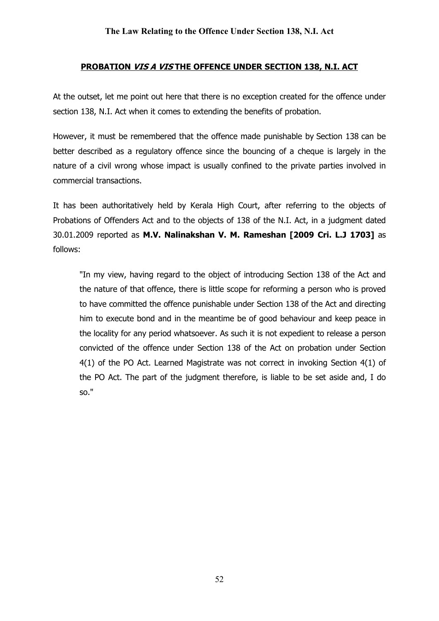## PROBATION VIS A VISTHE OFFENCE UNDER SECTION 138, N.I. ACT

At the outset, let me point out here that there is no exception created for the offence under section 138, N.I. Act when it comes to extending the benefits of probation.

However, it must be remembered that the offence made punishable by Section 138 can be better described as a regulatory offence since the bouncing of a cheque is largely in the nature of a civil wrong whose impact is usually confined to the private parties involved in commercial transactions.

It has been authoritatively held by Kerala High Court, after referring to the objects of Probations of Offenders Act and to the objects of 138 of the N.I. Act, in a judgment dated 30.01.2009 reported as M.V. Nalinakshan V. M. Rameshan [2009 Cri. L.J 1703] as follows:

"In my view, having regard to the object of introducing Section 138 of the Act and the nature of that offence, there is little scope for reforming a person who is proved to have committed the offence punishable under Section 138 of the Act and directing him to execute bond and in the meantime be of good behaviour and keep peace in the locality for any period whatsoever. As such it is not expedient to release a person convicted of the offence under Section 138 of the Act on probation under Section 4(1) of the PO Act. Learned Magistrate was not correct in invoking Section 4(1) of the PO Act. The part of the judgment therefore, is liable to be set aside and, I do so."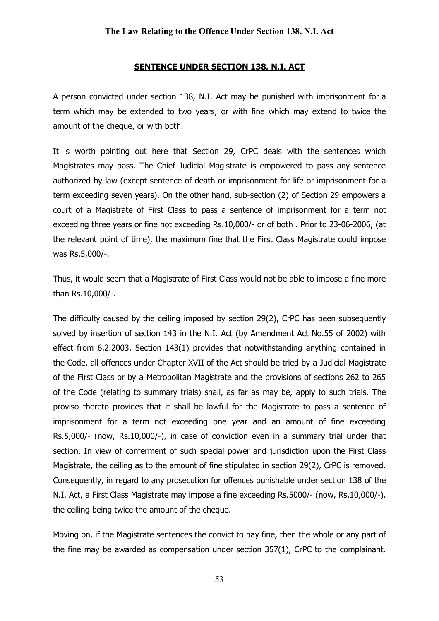#### SENTENCE UNDER SECTION 138, N.I. ACT

A person convicted under section 138, N.I. Act may be punished with imprisonment for a term which may be extended to two years, or with fine which may extend to twice the amount of the cheque, or with both.

It is worth pointing out here that Section 29, CrPC deals with the sentences which Magistrates may pass. The Chief Judicial Magistrate is empowered to pass any sentence authorized by law (except sentence of death or imprisonment for life or imprisonment for a term exceeding seven years). On the other hand, sub-section (2) of Section 29 empowers a court of a Magistrate of First Class to pass a sentence of imprisonment for a term not exceeding three years or fine not exceeding Rs.10,000/- or of both . Prior to 23-06-2006, (at the relevant point of time), the maximum fine that the First Class Magistrate could impose was Rs.5,000/-.

Thus, it would seem that a Magistrate of First Class would not be able to impose a fine more than Rs.10,000/-.

The difficulty caused by the ceiling imposed by section 29(2), CrPC has been subsequently solved by insertion of section 143 in the N.I. Act (by Amendment Act No.55 of 2002) with effect from 6.2.2003. Section 143(1) provides that notwithstanding anything contained in the Code, all offences under Chapter XVII of the Act should be tried by a Judicial Magistrate of the First Class or by a Metropolitan Magistrate and the provisions of sections 262 to 265 of the Code (relating to summary trials) shall, as far as may be, apply to such trials. The proviso thereto provides that it shall be lawful for the Magistrate to pass a sentence of imprisonment for a term not exceeding one year and an amount of fine exceeding Rs.5,000/- (now, Rs.10,000/-), in case of conviction even in a summary trial under that section. In view of conferment of such special power and jurisdiction upon the First Class Magistrate, the ceiling as to the amount of fine stipulated in section 29(2), CrPC is removed. Consequently, in regard to any prosecution for offences punishable under section 138 of the N.I. Act, a First Class Magistrate may impose a fine exceeding Rs.5000/- (now, Rs.10,000/-), the ceiling being twice the amount of the cheque.

Moving on, if the Magistrate sentences the convict to pay fine, then the whole or any part of the fine may be awarded as compensation under section 357(1), CrPC to the complainant.

53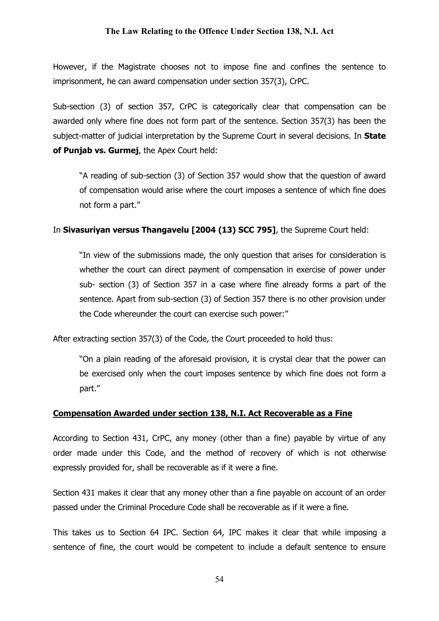However, if the Magistrate chooses not to impose fine and confines the sentence to imprisonment, he can award compensation under section 357(3), CrPC.

Sub-section (3) of section 357, CrPC is categorically clear that compensation can be awarded only where fine does not form part of the sentence. Section 357(3) has been the subject-matter of judicial interpretation by the Supreme Court in several decisions. In **State** of Punjab vs. Gurmej, the Apex Court held:

"A reading of sub-section (3) of Section 357 would show that the question of award of compensation would arise where the court imposes a sentence of which fine does not form a part."

#### In Sivasurivan versus Thangavelu [2004 (13) SCC 7951, the Supreme Court held:

"In view of the submissions made, the only question that arises for consideration is whether the court can direct payment of compensation in exercise of power under sub- section (3) of Section 357 in a case where fine already forms a part of the sentence. Apart from sub-section (3) of Section 357 there is no other provision under the Code whereunder the court can exercise such power:"

After extracting section 357(3) of the Code, the Court proceeded to hold thus:

"On a plain reading of the aforesaid provision, it is crystal clear that the power can be exercised only when the court imposes sentence by which fine does not form a part."

#### Compensation Awarded under section 138, N.I. Act Recoverable as a Fine

According to Section 431, CrPC, any money (other than a fine) payable by virtue of any order made under this Code, and the method of recovery of which is not otherwise expressly provided for, shall be recoverable as if it were a fine.

Section 431 makes it clear that any money other than a fine payable on account of an order passed under the Criminal Procedure Code shall be recoverable as if it were a fine.

This takes us to Section 64 IPC. Section 64, IPC makes it clear that while imposing a sentence of fine, the court would be competent to include a default sentence to ensure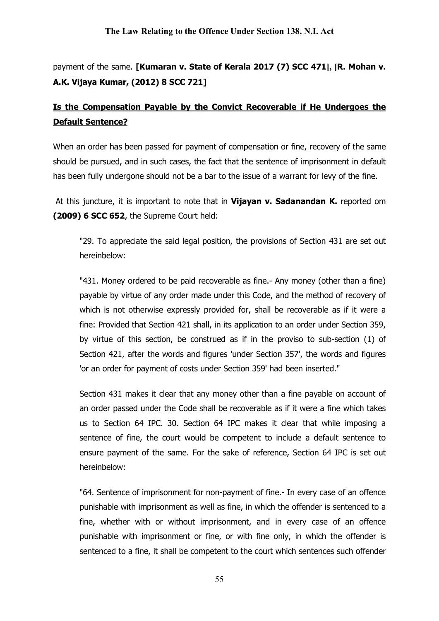payment of the same. [Kumaran v. State of Kerala 2017 (7) SCC 471], [R. Mohan v. A.K. Vijaya Kumar, (2012) 8 SCC 721]

# Is the Compensation Payable by the Convict Recoverable if He Undergoes the Default Sentence?

When an order has been passed for payment of compensation or fine, recovery of the same should be pursued, and in such cases, the fact that the sentence of imprisonment in default has been fully undergone should not be a bar to the issue of a warrant for levy of the fine.

At this juncture, it is important to note that in Vijayan v. Sadanandan K. reported om (2009) 6 SCC 652, the Supreme Court held:

"29. To appreciate the said legal position, the provisions of Section 431 are set out hereinbelow:

"431. Money ordered to be paid recoverable as fine.- Any money (other than a fine) payable by virtue of any order made under this Code, and the method of recovery of which is not otherwise expressly provided for, shall be recoverable as if it were a fine: Provided that Section 421 shall, in its application to an order under Section 359, by virtue of this section, be construed as if in the proviso to sub-section (1) of Section 421, after the words and figures 'under Section 357', the words and figures 'or an order for payment of costs under Section 359' had been inserted."

Section 431 makes it clear that any money other than a fine payable on account of an order passed under the Code shall be recoverable as if it were a fine which takes us to Section 64 IPC. 30. Section 64 IPC makes it clear that while imposing a sentence of fine, the court would be competent to include a default sentence to ensure payment of the same. For the sake of reference, Section 64 IPC is set out hereinbelow:

"64. Sentence of imprisonment for non-payment of fine.- In every case of an offence punishable with imprisonment as well as fine, in which the offender is sentenced to a fine, whether with or without imprisonment, and in every case of an offence punishable with imprisonment or fine, or with fine only, in which the offender is sentenced to a fine, it shall be competent to the court which sentences such offender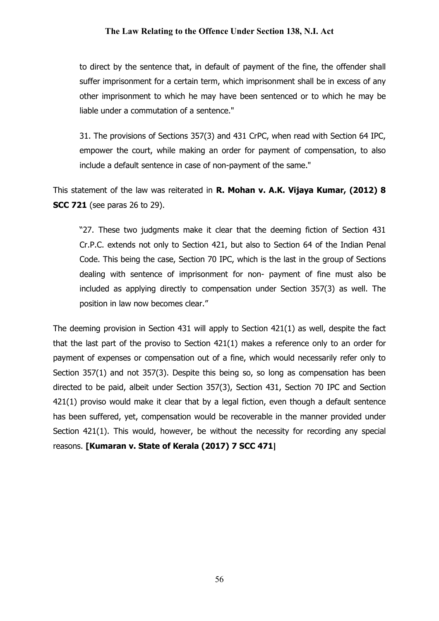to direct by the sentence that, in default of payment of the fine, the offender shall suffer imprisonment for a certain term, which imprisonment shall be in excess of any other imprisonment to which he may have been sentenced or to which he may be liable under a commutation of a sentence."

31. The provisions of Sections 357(3) and 431 CrPC, when read with Section 64 IPC, empower the court, while making an order for payment of compensation, to also include a default sentence in case of non-payment of the same."

This statement of the law was reiterated in R. Mohan v. A.K. Vijaya Kumar, (2012) 8 **SCC 721** (see paras 26 to 29).

"27. These two judgments make it clear that the deeming fiction of Section 431 Cr.P.C. extends not only to Section 421, but also to Section 64 of the Indian Penal Code. This being the case, Section 70 IPC, which is the last in the group of Sections dealing with sentence of imprisonment for non- payment of fine must also be included as applying directly to compensation under Section 357(3) as well. The position in law now becomes clear."

The deeming provision in Section 431 will apply to Section 421(1) as well, despite the fact that the last part of the proviso to Section  $421(1)$  makes a reference only to an order for payment of expenses or compensation out of a fine, which would necessarily refer only to Section 357(1) and not 357(3). Despite this being so, so long as compensation has been directed to be paid, albeit under Section 357(3), Section 431, Section 70 IPC and Section 421(1) proviso would make it clear that by a legal fiction, even though a default sentence has been suffered, yet, compensation would be recoverable in the manner provided under Section 421(1). This would, however, be without the necessity for recording any special reasons. [Kumaran v. State of Kerala (2017) 7 SCC 471]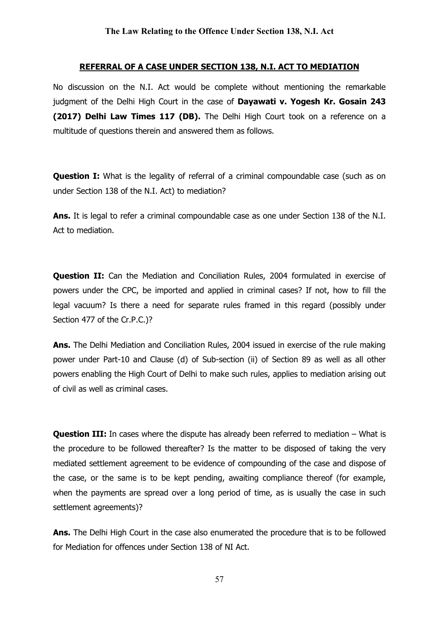#### REFERRAL OF A CASE UNDER SECTION 138, N.I. ACT TO MEDIATION

No discussion on the N.I. Act would be complete without mentioning the remarkable judgment of the Delhi High Court in the case of Dayawati v. Yogesh Kr. Gosain 243 (2017) Delhi Law Times 117 (DB). The Delhi High Court took on a reference on a multitude of questions therein and answered them as follows.

**Question I:** What is the legality of referral of a criminal compoundable case (such as on under Section 138 of the N.I. Act) to mediation?

Ans. It is legal to refer a criminal compoundable case as one under Section 138 of the N.I. Act to mediation.

**Question II:** Can the Mediation and Conciliation Rules, 2004 formulated in exercise of powers under the CPC, be imported and applied in criminal cases? If not, how to fill the legal vacuum? Is there a need for separate rules framed in this regard (possibly under Section 477 of the Cr.P.C.)?

Ans. The Delhi Mediation and Conciliation Rules, 2004 issued in exercise of the rule making power under Part-10 and Clause (d) of Sub-section (ii) of Section 89 as well as all other powers enabling the High Court of Delhi to make such rules, applies to mediation arising out of civil as well as criminal cases.

**Question III:** In cases where the dispute has already been referred to mediation – What is the procedure to be followed thereafter? Is the matter to be disposed of taking the very mediated settlement agreement to be evidence of compounding of the case and dispose of the case, or the same is to be kept pending, awaiting compliance thereof (for example, when the payments are spread over a long period of time, as is usually the case in such settlement agreements)?

Ans. The Delhi High Court in the case also enumerated the procedure that is to be followed for Mediation for offences under Section 138 of NI Act.

57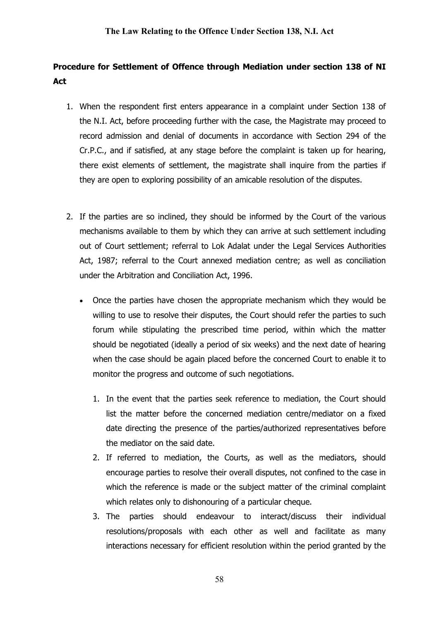# Procedure for Settlement of Offence through Mediation under section 138 of NI Act

- 1. When the respondent first enters appearance in a complaint under Section 138 of the N.I. Act, before proceeding further with the case, the Magistrate may proceed to record admission and denial of documents in accordance with Section 294 of the Cr.P.C., and if satisfied, at any stage before the complaint is taken up for hearing, there exist elements of settlement, the magistrate shall inquire from the parties if they are open to exploring possibility of an amicable resolution of the disputes.
- 2. If the parties are so inclined, they should be informed by the Court of the various mechanisms available to them by which they can arrive at such settlement including out of Court settlement; referral to Lok Adalat under the Legal Services Authorities Act, 1987; referral to the Court annexed mediation centre; as well as conciliation under the Arbitration and Conciliation Act, 1996.
	- Once the parties have chosen the appropriate mechanism which they would be willing to use to resolve their disputes, the Court should refer the parties to such forum while stipulating the prescribed time period, within which the matter should be negotiated (ideally a period of six weeks) and the next date of hearing when the case should be again placed before the concerned Court to enable it to monitor the progress and outcome of such negotiations.
		- 1. In the event that the parties seek reference to mediation, the Court should list the matter before the concerned mediation centre/mediator on a fixed date directing the presence of the parties/authorized representatives before the mediator on the said date.
		- 2. If referred to mediation, the Courts, as well as the mediators, should encourage parties to resolve their overall disputes, not confined to the case in which the reference is made or the subject matter of the criminal complaint which relates only to dishonouring of a particular cheque.
		- 3. The parties should endeavour to interact/discuss their individual resolutions/proposals with each other as well and facilitate as many interactions necessary for efficient resolution within the period granted by the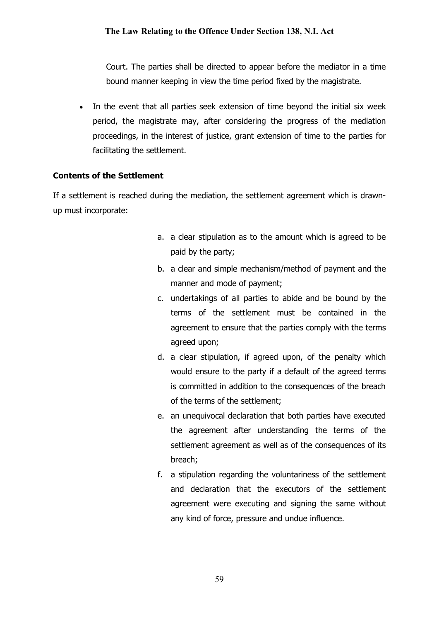Court. The parties shall be directed to appear before the mediator in a time bound manner keeping in view the time period fixed by the magistrate.

• In the event that all parties seek extension of time beyond the initial six week period, the magistrate may, after considering the progress of the mediation proceedings, in the interest of justice, grant extension of time to the parties for facilitating the settlement.

## Contents of the Settlement

If a settlement is reached during the mediation, the settlement agreement which is drawnup must incorporate:

- a. a clear stipulation as to the amount which is agreed to be paid by the party;
- b. a clear and simple mechanism/method of payment and the manner and mode of payment;
- c. undertakings of all parties to abide and be bound by the terms of the settlement must be contained in the agreement to ensure that the parties comply with the terms agreed upon;
- d. a clear stipulation, if agreed upon, of the penalty which would ensure to the party if a default of the agreed terms is committed in addition to the consequences of the breach of the terms of the settlement;
- e. an unequivocal declaration that both parties have executed the agreement after understanding the terms of the settlement agreement as well as of the consequences of its breach;
- f. a stipulation regarding the voluntariness of the settlement and declaration that the executors of the settlement agreement were executing and signing the same without any kind of force, pressure and undue influence.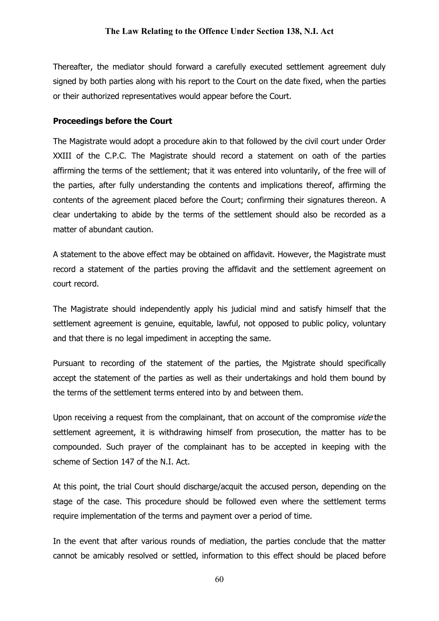Thereafter, the mediator should forward a carefully executed settlement agreement duly signed by both parties along with his report to the Court on the date fixed, when the parties or their authorized representatives would appear before the Court.

## Proceedings before the Court

The Magistrate would adopt a procedure akin to that followed by the civil court under Order XXIII of the C.P.C. The Magistrate should record a statement on oath of the parties affirming the terms of the settlement; that it was entered into voluntarily, of the free will of the parties, after fully understanding the contents and implications thereof, affirming the contents of the agreement placed before the Court; confirming their signatures thereon. A clear undertaking to abide by the terms of the settlement should also be recorded as a matter of abundant caution.

A statement to the above effect may be obtained on affidavit. However, the Magistrate must record a statement of the parties proving the affidavit and the settlement agreement on court record.

The Magistrate should independently apply his judicial mind and satisfy himself that the settlement agreement is genuine, equitable, lawful, not opposed to public policy, voluntary and that there is no legal impediment in accepting the same.

Pursuant to recording of the statement of the parties, the Mgistrate should specifically accept the statement of the parties as well as their undertakings and hold them bound by the terms of the settlement terms entered into by and between them.

Upon receiving a request from the complainant, that on account of the compromise vide the settlement agreement, it is withdrawing himself from prosecution, the matter has to be compounded. Such prayer of the complainant has to be accepted in keeping with the scheme of Section 147 of the N.I. Act.

At this point, the trial Court should discharge/acquit the accused person, depending on the stage of the case. This procedure should be followed even where the settlement terms require implementation of the terms and payment over a period of time.

In the event that after various rounds of mediation, the parties conclude that the matter cannot be amicably resolved or settled, information to this effect should be placed before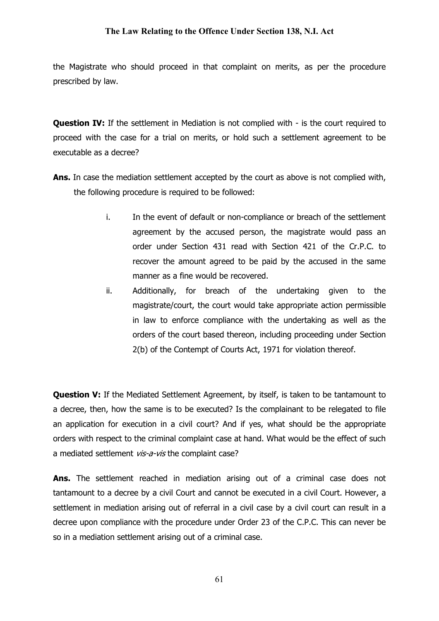the Magistrate who should proceed in that complaint on merits, as per the procedure prescribed by law.

Question IV: If the settlement in Mediation is not complied with - is the court required to proceed with the case for a trial on merits, or hold such a settlement agreement to be executable as a decree?

- Ans. In case the mediation settlement accepted by the court as above is not complied with, the following procedure is required to be followed:
	- i. In the event of default or non-compliance or breach of the settlement agreement by the accused person, the magistrate would pass an order under Section 431 read with Section 421 of the Cr.P.C. to recover the amount agreed to be paid by the accused in the same manner as a fine would be recovered.
	- ii. Additionally, for breach of the undertaking given to the magistrate/court, the court would take appropriate action permissible in law to enforce compliance with the undertaking as well as the orders of the court based thereon, including proceeding under Section 2(b) of the Contempt of Courts Act, 1971 for violation thereof.

**Question V:** If the Mediated Settlement Agreement, by itself, is taken to be tantamount to a decree, then, how the same is to be executed? Is the complainant to be relegated to file an application for execution in a civil court? And if yes, what should be the appropriate orders with respect to the criminal complaint case at hand. What would be the effect of such a mediated settlement vis-a-vis the complaint case?

Ans. The settlement reached in mediation arising out of a criminal case does not tantamount to a decree by a civil Court and cannot be executed in a civil Court. However, a settlement in mediation arising out of referral in a civil case by a civil court can result in a decree upon compliance with the procedure under Order 23 of the C.P.C. This can never be so in a mediation settlement arising out of a criminal case.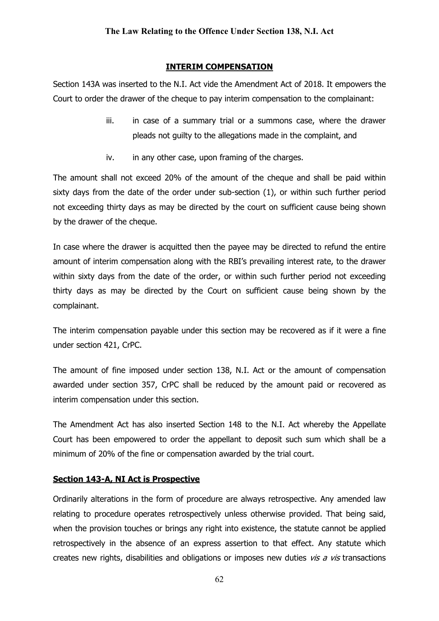## INTERIM COMPENSATION

Section 143A was inserted to the N.I. Act vide the Amendment Act of 2018. It empowers the Court to order the drawer of the cheque to pay interim compensation to the complainant:

- iii. in case of a summary trial or a summons case, where the drawer pleads not guilty to the allegations made in the complaint, and
- iv. in any other case, upon framing of the charges.

The amount shall not exceed 20% of the amount of the cheque and shall be paid within sixty days from the date of the order under sub-section (1), or within such further period not exceeding thirty days as may be directed by the court on sufficient cause being shown by the drawer of the cheque.

In case where the drawer is acquitted then the payee may be directed to refund the entire amount of interim compensation along with the RBI's prevailing interest rate, to the drawer within sixty days from the date of the order, or within such further period not exceeding thirty days as may be directed by the Court on sufficient cause being shown by the complainant.

The interim compensation payable under this section may be recovered as if it were a fine under section 421, CrPC.

The amount of fine imposed under section 138, N.I. Act or the amount of compensation awarded under section 357, CrPC shall be reduced by the amount paid or recovered as interim compensation under this section.

The Amendment Act has also inserted Section 148 to the N.I. Act whereby the Appellate Court has been empowered to order the appellant to deposit such sum which shall be a minimum of 20% of the fine or compensation awarded by the trial court.

## Section 143-A, NI Act is Prospective

Ordinarily alterations in the form of procedure are always retrospective. Any amended law relating to procedure operates retrospectively unless otherwise provided. That being said, when the provision touches or brings any right into existence, the statute cannot be applied retrospectively in the absence of an express assertion to that effect. Any statute which creates new rights, disabilities and obligations or imposes new duties  $vis a vis$  transactions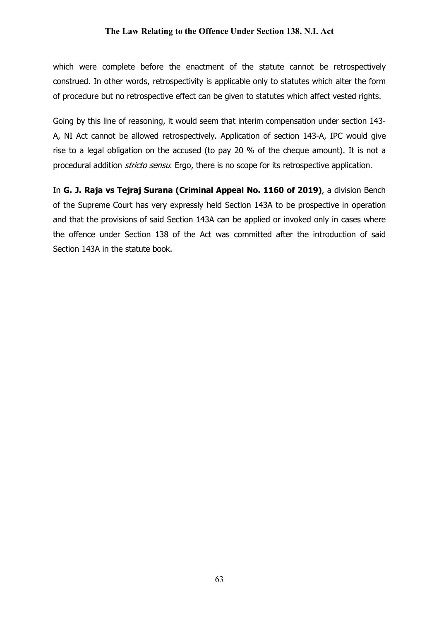which were complete before the enactment of the statute cannot be retrospectively construed. In other words, retrospectivity is applicable only to statutes which alter the form of procedure but no retrospective effect can be given to statutes which affect vested rights.

Going by this line of reasoning, it would seem that interim compensation under section 143- A, NI Act cannot be allowed retrospectively. Application of section 143-A, IPC would give rise to a legal obligation on the accused (to pay 20 % of the cheque amount). It is not a procedural addition *stricto sensu*. Ergo, there is no scope for its retrospective application.

In G. J. Raja vs Tejraj Surana (Criminal Appeal No. 1160 of 2019), a division Bench of the Supreme Court has very expressly held Section 143A to be prospective in operation and that the provisions of said Section 143A can be applied or invoked only in cases where the offence under Section 138 of the Act was committed after the introduction of said Section 143A in the statute book.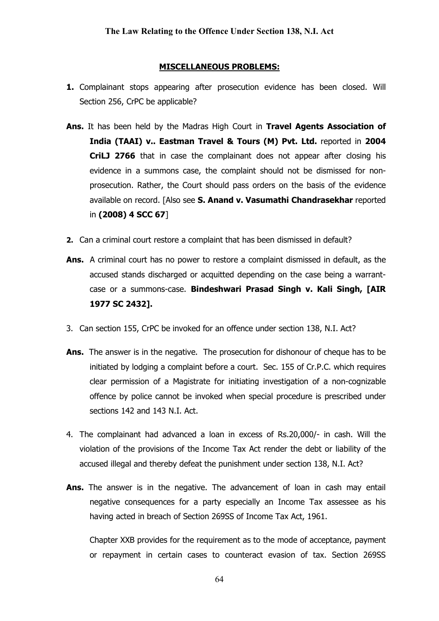#### MISCELLANEOUS PROBLEMS:

- 1. Complainant stops appearing after prosecution evidence has been closed. Will Section 256, CrPC be applicable?
- Ans. It has been held by the Madras High Court in Travel Agents Association of India (TAAI) v.. Eastman Travel & Tours (M) Pvt. Ltd. reported in 2004 CriLJ 2766 that in case the complainant does not appear after closing his evidence in a summons case, the complaint should not be dismissed for nonprosecution. Rather, the Court should pass orders on the basis of the evidence available on record. [Also see S. Anand v. Vasumathi Chandrasekhar reported in (2008) 4 SCC 67]
- 2. Can a criminal court restore a complaint that has been dismissed in default?
- Ans. A criminal court has no power to restore a complaint dismissed in default, as the accused stands discharged or acquitted depending on the case being a warrantcase or a summons-case. Bindeshwari Prasad Singh v. Kali Singh, [AIR 1977 SC 2432].
- 3. Can section 155, CrPC be invoked for an offence under section 138, N.I. Act?
- Ans. The answer is in the negative. The prosecution for dishonour of cheque has to be initiated by lodging a complaint before a court. Sec. 155 of Cr.P.C. which requires clear permission of a Magistrate for initiating investigation of a non-cognizable offence by police cannot be invoked when special procedure is prescribed under sections 142 and 143 N.I. Act.
- 4. The complainant had advanced a loan in excess of Rs.20,000/- in cash. Will the violation of the provisions of the Income Tax Act render the debt or liability of the accused illegal and thereby defeat the punishment under section 138, N.I. Act?
- Ans. The answer is in the negative. The advancement of loan in cash may entail negative consequences for a party especially an Income Tax assessee as his having acted in breach of Section 269SS of Income Tax Act, 1961.

Chapter XXB provides for the requirement as to the mode of acceptance, payment or repayment in certain cases to counteract evasion of tax. Section 269SS